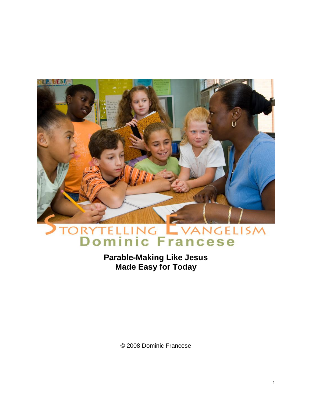

# RYTELLING EVANGELISM

**Parable-Making Like Jesus Made Easy for Today**

© 2008 Dominic Francese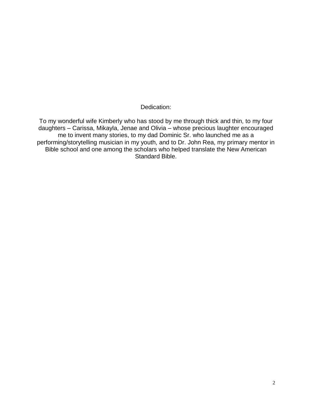Dedication:

To my wonderful wife Kimberly who has stood by me through thick and thin, to my four daughters – Carissa, Mikayla, Jenae and Olivia – whose precious laughter encouraged me to invent many stories, to my dad Dominic Sr. who launched me as a performing/storytelling musician in my youth, and to Dr. John Rea, my primary mentor in Bible school and one among the scholars who helped translate the New American Standard Bible.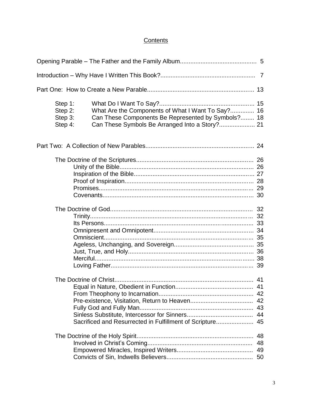#### **Contents**

| Step 1:<br>Step 2:<br>Step 3:<br>Step 4: | What Are the Components of What I Want To Say? 16<br>Can These Components Be Represented by Symbols? 18 |  |
|------------------------------------------|---------------------------------------------------------------------------------------------------------|--|
|                                          |                                                                                                         |  |
|                                          |                                                                                                         |  |
|                                          |                                                                                                         |  |
|                                          | Sacrificed and Resurrected in Fulfillment of Scripture 45                                               |  |
|                                          |                                                                                                         |  |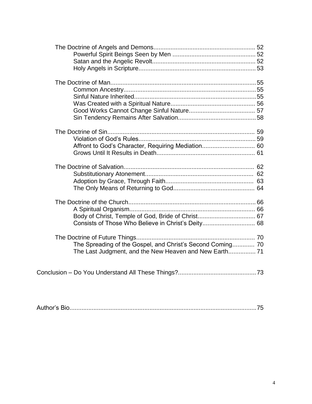| Affront to God's Character, Requiring Mediation 60                                                                   |  |
|----------------------------------------------------------------------------------------------------------------------|--|
|                                                                                                                      |  |
|                                                                                                                      |  |
| The Spreading of the Gospel, and Christ's Second Coming 70<br>The Last Judgment, and the New Heaven and New Earth 71 |  |
|                                                                                                                      |  |

|--|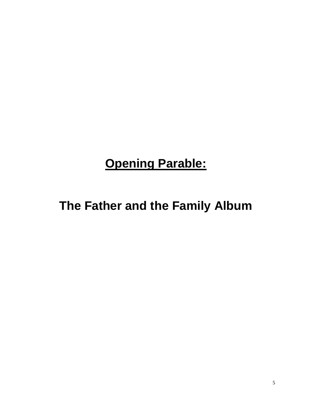# **Opening Parable:**

**The Father and the Family Album**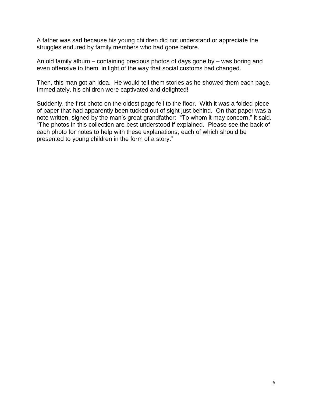A father was sad because his young children did not understand or appreciate the struggles endured by family members who had gone before.

An old family album – containing precious photos of days gone by – was boring and even offensive to them, in light of the way that social customs had changed.

Then, this man got an idea. He would tell them stories as he showed them each page. Immediately, his children were captivated and delighted!

Suddenly, the first photo on the oldest page fell to the floor. With it was a folded piece of paper that had apparently been tucked out of sight just behind. On that paper was a note written, signed by the man"s great grandfather: "To whom it may concern," it said. "The photos in this collection are best understood if explained. Please see the back of each photo for notes to help with these explanations, each of which should be presented to young children in the form of a story."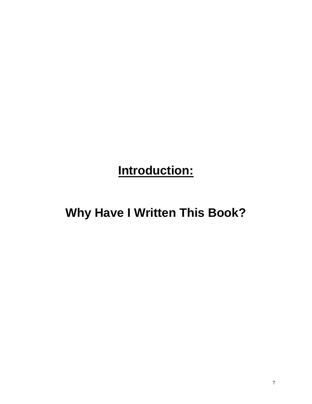# **Introduction:**

## **Why Have I Written This Book?**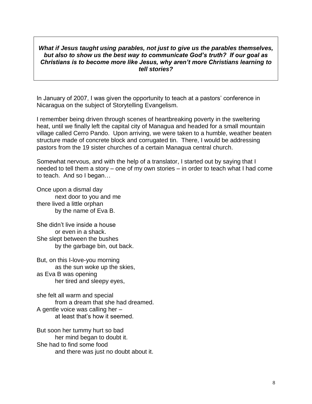#### *What if Jesus taught using parables, not just to give us the parables themselves, but also to show us the best way to communicate God"s truth? If our goal as Christians is to become more like Jesus, why aren"t more Christians learning to tell stories?*

In January of 2007, I was given the opportunity to teach at a pastors' conference in Nicaragua on the subject of Storytelling Evangelism.

I remember being driven through scenes of heartbreaking poverty in the sweltering heat, until we finally left the capital city of Managua and headed for a small mountain village called Cerro Pando. Upon arriving, we were taken to a humble, weather beaten structure made of concrete block and corrugated tin. There, I would be addressing pastors from the 19 sister churches of a certain Managua central church.

Somewhat nervous, and with the help of a translator, I started out by saying that I needed to tell them a story – one of my own stories – in order to teach what I had come to teach. And so I began…

Once upon a dismal day next door to you and me there lived a little orphan by the name of Eva B.

She didn"t live inside a house or even in a shack. She slept between the bushes by the garbage bin, out back.

But, on this I-love-you morning as the sun woke up the skies, as Eva B was opening her tired and sleepy eyes,

she felt all warm and special from a dream that she had dreamed. A gentle voice was calling her – at least that"s how it seemed.

But soon her tummy hurt so bad her mind began to doubt it. She had to find some food and there was just no doubt about it.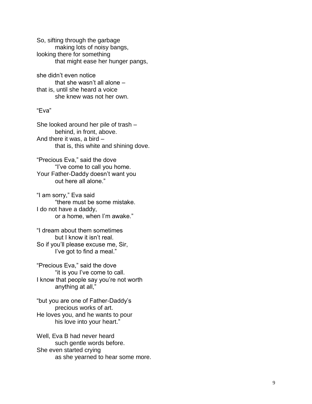So, sifting through the garbage making lots of noisy bangs, looking there for something that might ease her hunger pangs,

she didn"t even notice that she wasn't all alone – that is, until she heard a voice she knew was not her own.

#### "Eva"

She looked around her pile of trash – behind, in front, above. And there it was, a bird – that is, this white and shining dove.

"Precious Eva," said the dove "I"ve come to call you home. Your Father -Daddy doesn"t want you out here all alone."

"I am sorry," Eva said "there must be some mistake. I do not have a daddy, or a home, when I"m awake."

"I dream about them sometimes but I know it isn"t real. So if you"ll please excuse me, Sir, I've got to find a meal."

"Precious Eva," said the dove "it is you I"ve come to call. I know that people say you're not worth anything at all,"

"but you are one of Father -Daddy"s precious works of art. He loves you, and he wants to pour his love into your heart. "

Well, Eva B had never heard such gentle words before. She even started crying as she yearned to hear some more.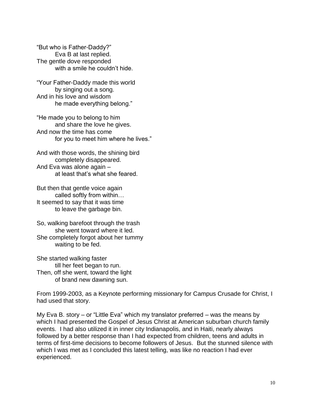"But who is Father-Daddy?" Eva B at last replied. The gentle dove responded with a smile he couldn't hide.

"Your Father-Daddy made this world by singing out a song. And in his love and wisdom he made everything belong."

"He made you to belong to him and share the love he gives. And now the time has come for you to meet him where he lives."

And with those words, the shining bird completely disappeared. And Eva was alone again – at least that"s what she feared.

But then that gentle voice again called softly from within… It seemed to say that it was time to leave the garbage bin.

So, walking barefoot through the trash she went toward where it led. She completely forgot about her tummy waiting to be fed.

She started walking faster till her feet began to run. Then, off she went, toward the light of brand new dawning sun.

From 1999-2003, as a Keynote performing missionary for Campus Crusade for Christ, I had used that story.

My Eva B. story – or "Little Eva" which my translator preferred – was the means by which I had presented the Gospel of Jesus Christ at American suburban church family events. I had also utilized it in inner city Indianapolis, and in Haiti, nearly always followed by a better response than I had expected from children, teens and adults in terms of first-time decisions to become followers of Jesus. But the stunned silence with which I was met as I concluded this latest telling, was like no reaction I had ever experienced.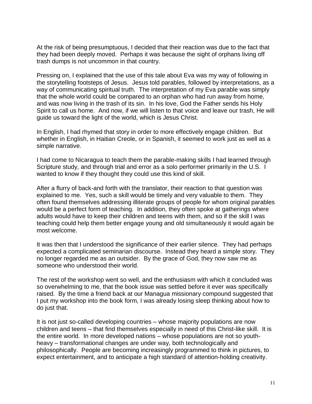At the risk of being presumptuous, I decided that their reaction was due to the fact that they had been deeply moved. Perhaps it was because the sight of orphans living off trash dumps is not uncommon in that country.

Pressing on, I explained that the use of this tale about Eva was my way of following in the storytelling footsteps of Jesus. Jesus told parables, followed by interpretations, as a way of communicating spiritual truth. The interpretation of my Eva parable was simply that the whole world could be compared to an orphan who had run away from home, and was now living in the trash of its sin. In his love, God the Father sends his Holy Spirit to call us home. And now, if we will listen to that voice and leave our trash, He will guide us toward the light of the world, which is Jesus Christ.

In English, I had rhymed that story in order to more effectively engage children. But whether in English, in Haitian Creole, or in Spanish, it seemed to work just as well as a simple narrative.

I had come to Nicaragua to teach them the parable-making skills I had learned through Scripture study, and through trial and error as a solo performer primarily in the U.S. I wanted to know if they thought they could use this kind of skill.

After a flurry of back-and forth with the translator, their reaction to that question was explained to me. Yes, such a skill would be timely and very valuable to them. They often found themselves addressing illiterate groups of people for whom original parables would be a perfect form of teaching. In addition, they often spoke at gatherings where adults would have to keep their children and teens with them, and so if the skill I was teaching could help them better engage young and old simultaneously it would again be most welcome.

It was then that I understood the significance of their earlier silence. They had perhaps expected a complicated seminarian discourse. Instead they heard a simple story. They no longer regarded me as an outsider. By the grace of God, they now saw me as someone who understood their world.

The rest of the workshop went so well, and the enthusiasm with which it concluded was so overwhelming to me, that the book issue was settled before it ever was specifically raised. By the time a friend back at our Managua missionary compound suggested that I put my workshop into the book form, I was already losing sleep thinking about how to do just that.

It is not just so-called developing countries – whose majority populations are now children and teens – that find themselves especially in need of this Christ-like skill. It is the entire world. In more developed nations – whose populations are not so youthheavy – transformational changes are under way, both technologically and philosophically. People are becoming increasingly programmed to think in pictures, to expect entertainment, and to anticipate a high standard of attention-holding creativity.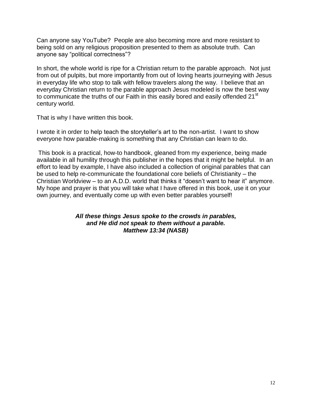Can anyone say YouTube? People are also becoming more and more resistant to being sold on any religious proposition presented to them as absolute truth. Can anyone say "political correctness"?

In short, the whole world is ripe for a Christian return to the parable approach. Not just from out of pulpits, but more importantly from out of loving hearts journeying with Jesus in everyday life who stop to talk with fellow travelers along the way. I believe that an everyday Christian return to the parable approach Jesus modeled is now the best way to communicate the truths of our Faith in this easily bored and easily offended 21<sup>st</sup> century world.

That is why I have written this book.

I wrote it in order to help teach the storyteller"s art to the non-artist. I want to show everyone how parable-making is something that any Christian can learn to do.

This book is a practical, how-to handbook, gleaned from my experience, being made available in all humility through this publisher in the hopes that it might be helpful. In an effort to lead by example, I have also included a collection of original parables that can be used to help re-communicate the foundational core beliefs of Christianity – the Christian Worldview – to an A.D.D. world that thinks it "doesn"t want to hear it" anymore. My hope and prayer is that you will take what I have offered in this book, use it on your own journey, and eventually come up with even better parables yourself!

> *All these things Jesus spoke to the crowds in parables, and He did not speak to them without a parable. Matthew 13:34 (NASB)*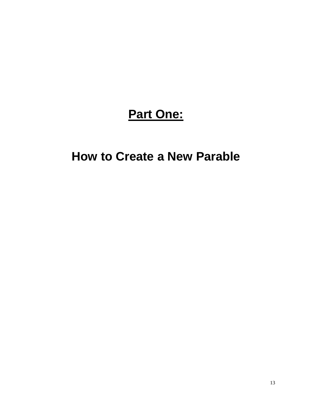### **Part One:**

### **How to Create a New Parable**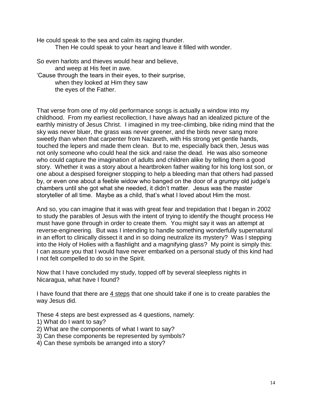He could speak to the sea and calm its raging thunder. Then He could speak to your heart and leave it filled with wonder.

So even harlots and thieves would hear and believe, and weep at His feet in awe. "Cause through the tears in their eyes, to their surprise, when they looked at Him they saw the eyes of the Father.

That verse from one of my old performance songs is actually a window into my childhood. From my earliest recollection, I have always had an idealized picture of the earthly ministry of Jesus Christ. I imagined in my tree-climbing, bike riding mind that the sky was never bluer, the grass was never greener, and the birds never sang more sweetly than when that carpenter from Nazareth, with His strong yet gentle hands, touched the lepers and made them clean. But to me, especially back then, Jesus was not only someone who could heal the sick and raise the dead. He was also someone who could capture the imagination of adults and children alike by telling them a good story. Whether it was a story about a heartbroken father waiting for his long lost son, or one about a despised foreigner stopping to help a bleeding man that others had passed by, or even one about a feeble widow who banged on the door of a grumpy old judge"s chambers until she got what she needed, it didn"t matter. Jesus was the master storyteller of all time. Maybe as a child, that"s what I loved about Him the most.

And so, you can imagine that it was with great fear and trepidation that I began in 2002 to study the parables of Jesus with the intent of trying to identify the thought process He must have gone through in order to create them. You might say it was an attempt at reverse-engineering. But was I intending to handle something wonderfully supernatural in an effort to clinically dissect it and in so doing neutralize its mystery? Was I stepping into the Holy of Holies with a flashlight and a magnifying glass? My point is simply this: I can assure you that I would have never embarked on a personal study of this kind had I not felt compelled to do so in the Spirit.

Now that I have concluded my study, topped off by several sleepless nights in Nicaragua, what have I found?

I have found that there are  $\frac{4 \text{ steps}}{4}$  that one should take if one is to create parables the way Jesus did.

These 4 steps are best expressed as 4 questions, namely:

- 1) What do I want to say?
- 2) What are the components of what I want to say?
- 3) Can these components be represented by symbols?
- 4) Can these symbols be arranged into a story?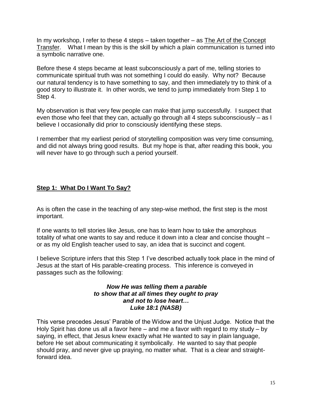In my workshop, I refer to these 4 steps – taken together – as The Art of the Concept Transfer. What I mean by this is the skill by which a plain communication is turned into a symbolic narrative one.

Before these 4 steps became at least subconsciously a part of me, telling stories to communicate spiritual truth was not something I could do easily. Why not? Because our natural tendency is to have something to say, and then immediately try to think of a good story to illustrate it. In other words, we tend to jump immediately from Step 1 to Step 4.

My observation is that very few people can make that jump successfully. I suspect that even those who feel that they can, actually go through all 4 steps subconsciously – as I believe I occasionally did prior to consciously identifying these steps.

I remember that my earliest period of storytelling composition was very time consuming, and did not always bring good results. But my hope is that, after reading this book, you will never have to go through such a period yourself.

#### **Step 1: What Do I Want To Say?**

As is often the case in the teaching of any step-wise method, the first step is the most important.

If one wants to tell stories like Jesus, one has to learn how to take the amorphous totality of what one wants to say and reduce it down into a clear and concise thought – or as my old English teacher used to say, an idea that is succinct and cogent.

I believe Scripture infers that this Step 1 I"ve described actually took place in the mind of Jesus at the start of His parable-creating process. This inference is conveyed in passages such as the following:

#### *Now He was telling them a parable to show that at all times they ought to pray and not to lose heart… Luke 18:1 (NASB)*

This verse precedes Jesus" Parable of the Widow and the Unjust Judge. Notice that the Holy Spirit has done us all a favor here – and me a favor with regard to my study – by saying, in effect, that Jesus knew exactly what He wanted to say in plain language, before He set about communicating it symbolically. He wanted to say that people should pray, and never give up praying, no matter what. That is a clear and straightforward idea.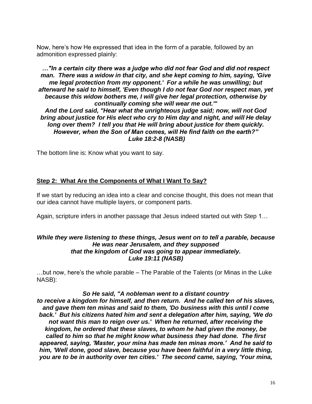Now, here"s how He expressed that idea in the form of a parable, followed by an admonition expressed plainly:

*…"In a certain city there was a judge who did not fear God and did not respect man. There was a widow in that city, and she kept coming to him, saying, 'Give me legal protection from my opponent.' For a while he was unwilling; but afterward he said to himself, 'Even though I do not fear God nor respect man, yet because this widow bothers me, I will give her legal protection, otherwise by continually coming she will wear me out.'" And the Lord said, "Hear what the unrighteous judge said; now, will not God bring about justice for His elect who cry to Him day and night, and will He delay long over them? I tell you that He will bring about justice for them quickly. However, when the Son of Man comes, will He find faith on the earth?"* 

#### *Luke 18:2-8 (NASB)*

The bottom line is: Know what you want to say.

#### **Step 2: What Are the Components of What I Want To Say?**

If we start by reducing an idea into a clear and concise thought, this does not mean that our idea cannot have multiple layers, or component parts.

Again, scripture infers in another passage that Jesus indeed started out with Step 1…

#### *While they were listening to these things, Jesus went on to tell a parable, because He was near Jerusalem, and they supposed that the kingdom of God was going to appear immediately. Luke 19:11 (NASB)*

…but now, here"s the whole parable – The Parable of the Talents (or Minas in the Luke NASB):

#### *So He said, "A nobleman went to a distant country*

*to receive a kingdom for himself, and then return. And he called ten of his slaves, and gave them ten minas and said to them, 'Do business with this until I come back.' But his citizens hated him and sent a delegation after him, saying, 'We do not want this man to reign over us.' When he returned, after receiving the kingdom, he ordered that these slaves, to whom he had given the money, be called to him so that he might know what business they had done. The first appeared, saying, 'Master, your mina has made ten minas more." And he said to him, 'Well done, good slave, because you have been faithful in a very little thing, you are to be in authority over ten cities.' The second came, saying, 'Your mina,*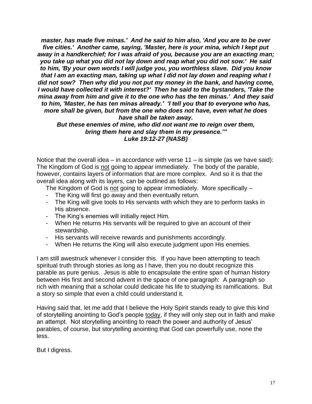*master, has made five minas.' And he said to him also, 'And you are to be over five cities.' Another came, saying, 'Master, here is your mina, which I kept put away in a handkerchief; for I was afraid of you, because you are an exacting man; you take up what you did not lay down and reap what you did not sow.' He said to him, 'By your own words I will judge you, you worthless slave. Did you know that I am an exacting man, taking up what I did not lay down and reaping what I did not sow? Then why did you not put my money in the bank, and having come, I would have collected it with interest?' Then he said to the bystanders, 'Take the mina away from him and give it to the one who has the ten minas.' And they said to him, 'Master, he has ten minas already.' "I tell you that to everyone who has, more shall be given, but from the one who does not have, even what he does have shall be taken away.* 

*But these enemies of mine, who did not want me to reign over them, bring them here and slay them in my presence."" Luke 19:12-27 (NASB)*

Notice that the overall idea – in accordance with verse  $11 -$  is simple (as we have said): The Kingdom of God is not going to appear immediately. The body of the parable, however, contains layers of information that are more complex. And so it is that the overall idea along with its layers, can be outlined as follows:

The Kingdom of God is not going to appear immediately. More specifically –

- The King will first go away and then eventually return.
- The King will give tools to His servants with which they are to perform tasks in His absence.
- The King"s enemies will initially reject Him.
- When He returns His servants will be required to give an account of their stewardship.
- His servants will receive rewards and punishments accordingly.
- When He returns the King will also execute judgment upon His enemies.

I am still awestruck whenever I consider this. If you have been attempting to teach spiritual truth through stories as long as I have, then you no doubt recognize this parable as pure genius. Jesus is able to encapsulate the entire span of human history between His first and second advent in the space of one paragraph: A paragraph so rich with meaning that a scholar could dedicate his life to studying its ramifications. But a story so simple that even a child could understand it.

Having said that, let me add that I believe the Holy Spirit stands ready to give this kind of storytelling anointing to God"s people today, if they will only step out in faith and make an attempt. Not storytelling anointing to reach the power and authority of Jesus' parables, of course, but storytelling anointing that God can powerfully use, none the less.

But I digress.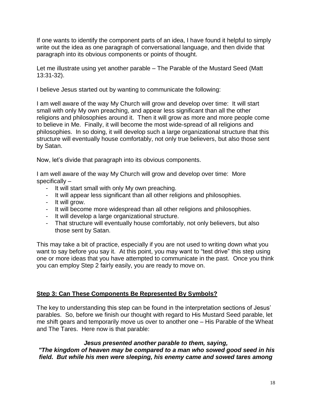If one wants to identify the component parts of an idea, I have found it helpful to simply write out the idea as one paragraph of conversational language, and then divide that paragraph into its obvious components or points of thought.

Let me illustrate using yet another parable – The Parable of the Mustard Seed (Matt 13:31-32).

I believe Jesus started out by wanting to communicate the following:

I am well aware of the way My Church will grow and develop over time: It will start small with only My own preaching, and appear less significant than all the other religions and philosophies around it. Then it will grow as more and more people come to believe in Me. Finally, it will become the most wide-spread of all religions and philosophies. In so doing, it will develop such a large organizational structure that this structure will eventually house comfortably, not only true believers, but also those sent by Satan.

Now, let"s divide that paragraph into its obvious components.

I am well aware of the way My Church will grow and develop over time: More specifically –

- It will start small with only My own preaching.
- It will appear less significant than all other religions and philosophies.
- It will grow.
- It will become more widespread than all other religions and philosophies.
- It will develop a large organizational structure.
- That structure will eventually house comfortably, not only believers, but also those sent by Satan.

This may take a bit of practice, especially if you are not used to writing down what you want to say before you say it. At this point, you may want to "test drive" this step using one or more ideas that you have attempted to communicate in the past. Once you think you can employ Step 2 fairly easily, you are ready to move on.

#### **Step 3: Can These Components Be Represented By Symbols?**

The key to understanding this step can be found in the interpretation sections of Jesus" parables. So, before we finish our thought with regard to His Mustard Seed parable, let me shift gears and temporarily move us over to another one – His Parable of the Wheat and The Tares. Here now is that parable:

#### *Jesus presented another parable to them, saying,*

*"The kingdom of heaven may be compared to a man who sowed good seed in his field. But while his men were sleeping, his enemy came and sowed tares among*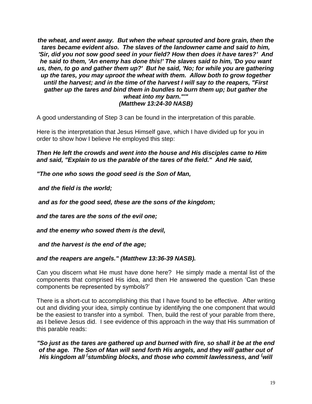*the wheat, and went away. But when the wheat sprouted and bore grain, then the tares became evident also. The slaves of the landowner came and said to him, 'Sir, did you not sow good seed in your field? How then does it have tares?' And he said to them, 'An enemy has done this!' The slaves said to him, 'Do you want us, then, to go and gather them up?' But he said, 'No; for while you are gathering up the tares, you may uproot the wheat with them. Allow both to grow together until the harvest; and in the time of the harvest I will say to the reapers, "First gather up the tares and bind them in bundles to burn them up; but gather the wheat into my barn."'" (Matthew 13:24-30 NASB)*

A good understanding of Step 3 can be found in the interpretation of this parable.

Here is the interpretation that Jesus Himself gave, which I have divided up for you in order to show how I believe He employed this step:

*Then He left the crowds and went into the house and His disciples came to Him and said, "Explain to us the parable of the tares of the field." And He said,* 

*"The one who sows the good seed is the Son of Man,* 

*and the field is the world;*

*and as for the good seed, these are the sons of the kingdom;* 

*and the tares are the sons of the evil one;* 

*and the enemy who sowed them is the devil,*

*and the harvest is the end of the age;* 

#### *and the reapers are angels." (Matthew 13:36-39 NASB).*

Can you discern what He must have done here? He simply made a mental list of the components that comprised His idea, and then He answered the question "Can these components be represented by symbols?"

There is a short-cut to accomplishing this that I have found to be effective. After writing out and dividing your idea, simply continue by identifying the one component that would be the easiest to transfer into a symbol. Then, build the rest of your parable from there, as I believe Jesus did. I see evidence of this approach in the way that His summation of this parable reads:

*"So just as the tares are gathered up and burned with fire, so shall it be at the end of the age. The Son of Man will send forth His angels, and they will gather out of His kingdom all ( stumbling blocks, and those who commit lawlessness, and (will*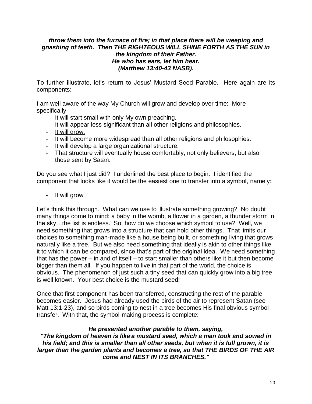#### *throw them into the furnace of fire; in that place there will be weeping and gnashing of teeth. Then THE RIGHTEOUS WILL SHINE FORTH AS THE SUN in the kingdom of their Father. He who has ears, let him hear. (Matthew 13:40-43 NASB).*

To further illustrate, let"s return to Jesus" Mustard Seed Parable. Here again are its components:

I am well aware of the way My Church will grow and develop over time: More specifically –

- It will start small with only My own preaching.
- It will appear less significant than all other religions and philosophies.
- It will grow.
- It will become more widespread than all other religions and philosophies.
- It will develop a large organizational structure.
- That structure will eventually house comfortably, not only believers, but also those sent by Satan.

Do you see what I just did? I underlined the best place to begin. I identified the component that looks like it would be the easiest one to transfer into a symbol, namely:

<u>It will grow</u>

Let's think this through. What can we use to illustrate something growing? No doubt many things come to mind: a baby in the womb, a flower in a garden, a thunder storm in the sky…the list is endless. So, how do we choose which symbol to use? Well, we need something that grows into a structure that can hold other things. That limits our choices to something man-made like a house being built, or something living that grows naturally like a tree. But we also need something that ideally is akin to other things like it to which it can be compared, since that"s part of the original idea. We need something that has the power – in and of itself – to start smaller than others like it but then become bigger than them all. If you happen to live in that part of the world, the choice is obvious. The phenomenon of just such a tiny seed that can quickly grow into a big tree is well known. Your best choice is the mustard seed!

Once that first component has been transferred, constructing the rest of the parable becomes easier. Jesus had already used the birds of the air to represent Satan (see Matt 13:1-23), and so birds coming to nest in a tree becomes His final obvious symbol transfer. With that, the symbol-making process is complete:

#### *He presented another parable to them, saying,*

*"The kingdom of heaven is like a mustard seed, which a man took and sowed in his field; and this is smaller than all other seeds, but when it is full grown, it is larger than the garden plants and becomes a tree, so that THE BIRDS OF THE AIR come and NEST IN ITS BRANCHES."*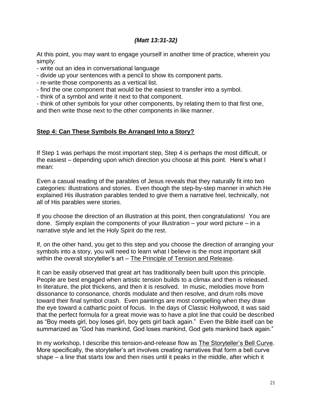#### *(Matt 13:31-32)*

At this point, you may want to engage yourself in another time of practice, wherein you simply:

- write out an idea in conversational language
- divide up your sentences with a pencil to show its component parts.
- re-write those components as a vertical list.
- find the one component that would be the easiest to transfer into a symbol.
- think of a symbol and write it next to that component.

- think of other symbols for your other components, by relating them to that first one, and then write those next to the other components in like manner.

#### **Step 4: Can These Symbols Be Arranged Into a Story?**

If Step 1 was perhaps the most important step, Step 4 is perhaps the most difficult, or the easiest – depending upon which direction you choose at this point. Here's what I mean:

Even a casual reading of the parables of Jesus reveals that they naturally fit into two categories: illustrations and stories. Even though the step-by-step manner in which He explained His illustration parables tended to give them a narrative feel, technically, not all of His parables were stories.

If you choose the direction of an illustration at this point, then congratulations! You are done. Simply explain the components of your illustration – your word picture – in a narrative style and let the Holy Spirit do the rest.

If, on the other hand, you get to this step and you choose the direction of arranging your symbols into a story, you will need to learn what I believe is the most important skill within the overall storyteller's art – The Principle of Tension and Release.

It can be easily observed that great art has traditionally been built upon this principle. People are best engaged when artistic tension builds to a climax and then is released. In literature, the plot thickens, and then it is resolved. In music, melodies move from dissonance to consonance, chords modulate and then resolve, and drum rolls move toward their final symbol crash. Even paintings are most compelling when they draw the eye toward a cathartic point of focus. In the days of Classic Hollywood, it was said that the perfect formula for a great movie was to have a plot line that could be described as "Boy meets girl, boy loses girl, boy gets girl back again." Even the Bible itself can be summarized as "God has mankind, God loses mankind, God gets mankind back again."

In my workshop, I describe this tension-and-release flow as The Storyteller"s Bell Curve. More specifically, the storyteller"s art involves creating narratives that form a bell curve shape – a line that starts low and then rises until it peaks in the middle, after which it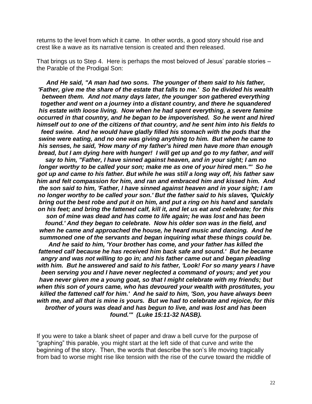returns to the level from which it came. In other words, a good story should rise and crest like a wave as its narrative tension is created and then released.

That brings us to Step 4. Here is perhaps the most beloved of Jesus" parable stories – the Parable of the Prodigal Son:

*And He said, "A man had two sons. The younger of them said to his father, 'Father, give me the share of the estate that falls to me.' So he divided his wealth between them. And not many days later, the younger son gathered everything together and went on a journey into a distant country, and there he squandered his estate with loose living. Now when he had spent everything, a severe famine occurred in that country, and he began to be impoverished. So he went and hired himself out to one of the citizens of that country, and he sent him into his fields to feed swine. And he would have gladly filled his stomach with the pods that the swine were eating, and no one was giving anything to him. But when he came to his senses, he said, 'How many of my father's hired men have more than enough bread, but I am dying here with hunger! I will get up and go to my father, and will say to him, "Father, I have sinned against heaven, and in your sight; I am no* 

*longer worthy to be called your son; make me as one of your hired men."' So he got up and came to his father. But while he was still a long way off, his father saw him and felt compassion for him, and ran and embraced him and kissed him. And the son said to him, 'Father, I have sinned against heaven and in your sight; I am no longer worthy to be called your son.' But the father said to his slaves, 'Quickly bring out the best robe and put it on him, and put a ring on his hand and sandals on his feet; and bring the fattened calf, kill it, and let us eat and celebrate; for this son of mine was dead and has come to life again; he was lost and has been found.' And they began to celebrate. Now his older son was in the field, and when he came and approached the house, he heard music and dancing. And he summoned one of the servants and began inquiring what these things could be. And he said to him, 'Your brother has come, and your father has killed the fattened calf because he has received him back safe and sound.' But he became angry and was not willing to go in; and his father came out and began pleading with him. But he answered and said to his father, 'Look! For so many years I have been serving you and I have never neglected a command of yours; and yet you have never given me a young goat, so that I might celebrate with my friends; but when this son of yours came, who has devoured your wealth with prostitutes, you killed the fattened calf for him.' And he said to him, 'Son, you have always been with me, and all that is mine is yours. But we had to celebrate and rejoice, for this brother of yours was dead and has begun to live, and was lost and has been found.'" (Luke 15:11-32 NASB).*

If you were to take a blank sheet of paper and draw a bell curve for the purpose of "graphing" this parable, you might start at the left side of that curve and write the beginning of the story. Then, the words that describe the son"s life moving tragically from bad to worse might rise like tension with the rise of the curve toward the middle of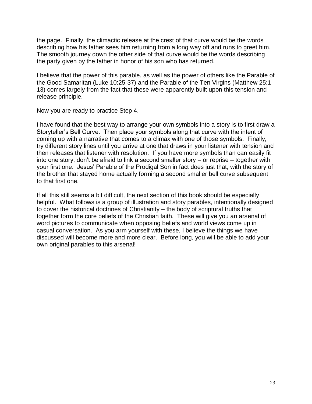the page. Finally, the climactic release at the crest of that curve would be the words describing how his father sees him returning from a long way off and runs to greet him. The smooth journey down the other side of that curve would be the words describing the party given by the father in honor of his son who has returned.

I believe that the power of this parable, as well as the power of others like the Parable of the Good Samaritan (Luke 10:25-37) and the Parable of the Ten Virgins (Matthew 25:1- 13) comes largely from the fact that these were apparently built upon this tension and release principle.

Now you are ready to practice Step 4.

I have found that the best way to arrange your own symbols into a story is to first draw a Storyteller"s Bell Curve. Then place your symbols along that curve with the intent of coming up with a narrative that comes to a climax with one of those symbols. Finally, try different story lines until you arrive at one that draws in your listener with tension and then releases that listener with resolution. If you have more symbols than can easily fit into one story, don't be afraid to link a second smaller story  $-$  or reprise  $-$  together with your first one. Jesus" Parable of the Prodigal Son in fact does just that, with the story of the brother that stayed home actually forming a second smaller bell curve subsequent to that first one.

If all this still seems a bit difficult, the next section of this book should be especially helpful. What follows is a group of illustration and story parables, intentionally designed to cover the historical doctrines of Christianity – the body of scriptural truths that together form the core beliefs of the Christian faith. These will give you an arsenal of word pictures to communicate when opposing beliefs and world views come up in casual conversation. As you arm yourself with these, I believe the things we have discussed will become more and more clear. Before long, you will be able to add your own original parables to this arsenal!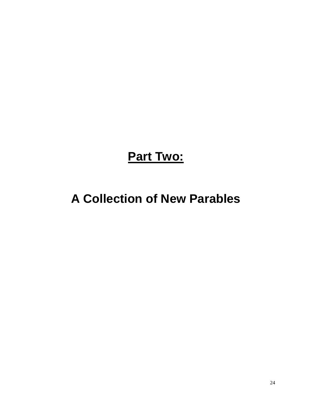**Part Two:**

### **A Collection of New Parables**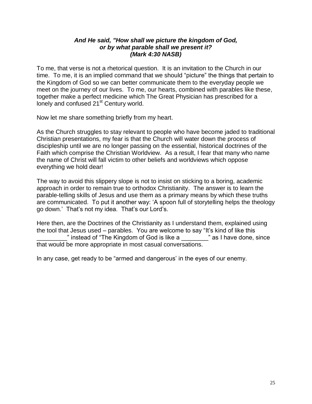#### *And He said, "How shall we picture the kingdom of God, or by what parable shall we present it? (Mark 4:30 NASB)*

To me, that verse is not a rhetorical question. It is an invitation to the Church in our time. To me, it is an implied command that we should "picture" the things that pertain to the Kingdom of God so we can better communicate them to the everyday people we meet on the journey of our lives. To me, our hearts, combined with parables like these, together make a perfect medicine which The Great Physician has prescribed for a lonely and confused 21<sup>st</sup> Century world.

Now let me share something briefly from my heart.

As the Church struggles to stay relevant to people who have become jaded to traditional Christian presentations, my fear is that the Church will water down the process of discipleship until we are no longer passing on the essential, historical doctrines of the Faith which comprise the Christian Worldview. As a result, I fear that many who name the name of Christ will fall victim to other beliefs and worldviews which oppose everything we hold dear!

The way to avoid this slippery slope is not to insist on sticking to a boring, academic approach in order to remain true to orthodox Christianity. The answer is to learn the parable-telling skills of Jesus and use them as a primary means by which these truths are communicated. To put it another way: "A spoon full of storytelling helps the theology go down.' That's not my idea. That's our Lord's.

Here then, are the Doctrines of the Christianity as I understand them, explained using the tool that Jesus used – parables. You are welcome to say "It"s kind of like this " instead of "The Kingdom of God is like a which as I have done, since that would be more appropriate in most casual conversations.

In any case, get ready to be "armed and dangerous" in the eyes of our enemy.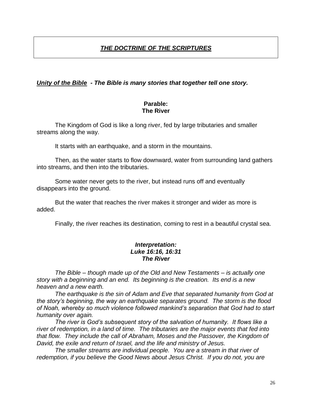#### *THE DOCTRINE OF THE SCRIPTURES*

#### *Unity of the Bible - The Bible is many stories that together tell one story.*

#### **Parable: The River**

The Kingdom of God is like a long river, fed by large tributaries and smaller streams along the way.

It starts with an earthquake, and a storm in the mountains.

Then, as the water starts to flow downward, water from surrounding land gathers into streams, and then into the tributaries.

Some water never gets to the river, but instead runs off and eventually disappears into the ground.

But the water that reaches the river makes it stronger and wider as more is added.

Finally, the river reaches its destination, coming to rest in a beautiful crystal sea.

#### *Interpretation: Luke 16:16, 16:31 The River*

*The Bible – though made up of the Old and New Testaments – is actually one story with a beginning and an end. Its beginning is the creation. Its end is a new heaven and a new earth.* 

*The earthquake is the sin of Adam and Eve that separated humanity from God at the story's beginning, the way an earthquake separates ground. The storm is the flood of Noah, whereby so much violence followed mankind's separation that God had to start humanity over again.*

*The river is God's subsequent story of the salvation of humanity. It flows like a river of redemption, in a land of time. The tributaries are the major events that fed into that flow. They include the call of Abraham, Moses and the Passover, the Kingdom of David, the exile and return of Israel, and the life and ministry of Jesus.*

*The smaller streams are individual people. You are a stream in that river of redemption, if you believe the Good News about Jesus Christ. If you do not, you are*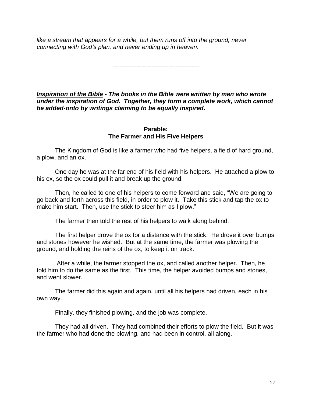*like a stream that appears for a while, but them runs off into the ground, never connecting with God's plan, and never ending up in heaven.* 

---------------------------------------------------

*Inspiration of the Bible - The books in the Bible were written by men who wrote under the inspiration of God. Together, they form a complete work, which cannot be added-onto by writings claiming to be equally inspired.*

#### **Parable: The Farmer and His Five Helpers**

The Kingdom of God is like a farmer who had five helpers, a field of hard ground, a plow, and an ox.

One day he was at the far end of his field with his helpers. He attached a plow to his ox, so the ox could pull it and break up the ground.

Then, he called to one of his helpers to come forward and said, "We are going to go back and forth across this field, in order to plow it. Take this stick and tap the ox to make him start. Then, use the stick to steer him as I plow."

The farmer then told the rest of his helpers to walk along behind.

The first helper drove the ox for a distance with the stick. He drove it over bumps and stones however he wished. But at the same time, the farmer was plowing the ground, and holding the reins of the ox, to keep it on track.

After a while, the farmer stopped the ox, and called another helper. Then, he told him to do the same as the first. This time, the helper avoided bumps and stones, and went slower.

The farmer did this again and again, until all his helpers had driven, each in his own way.

Finally, they finished plowing, and the job was complete.

They had all driven. They had combined their efforts to plow the field. But it was the farmer who had done the plowing, and had been in control, all along.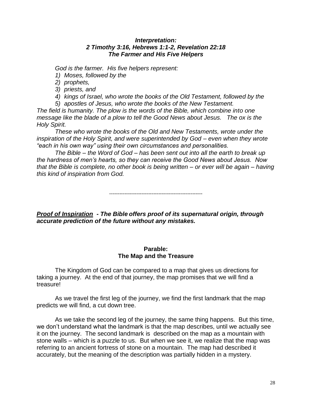#### *Interpretation: 2 Timothy 3:16, Hebrews 1:1-2, Revelation 22:18 The Farmer and His Five Helpers*

*God is the farmer. His five helpers represent:*

*1) Moses, followed by the* 

*2) prophets,* 

*3) priests, and* 

*4) kings of Israel, who wrote the books of the Old Testament, followed by the 5) apostles of Jesus, who wrote the books of the New Testament.* 

*The field is humanity. The plow is the words of the Bible, which combine into one message like the blade of a plow to tell the Good News about Jesus. The ox is the Holy Spirit.*

*These who wrote the books of the Old and New Testaments, wrote under the inspiration of the Holy Spirit, and were superintended by God – even when they wrote "each in his own way" using their own circumstances and personalities.* 

*The Bible – the Word of God – has been sent out into all the earth to break up the hardness of men's hearts, so they can receive the Good News about Jesus. Now that the Bible is complete, no other book is being written – or ever will be again – having this kind of inspiration from God.* 

-------------------------------------------------------

*Proof of Inspiration - The Bible offers proof of its supernatural origin, through accurate prediction of the future without any mistakes.*

#### **Parable: The Map and the Treasure**

The Kingdom of God can be compared to a map that gives us directions for taking a journey. At the end of that journey, the map promises that we will find a treasure!

As we travel the first leg of the journey, we find the first landmark that the map predicts we will find, a cut down tree.

As we take the second leg of the journey, the same thing happens. But this time, we don"t understand what the landmark is that the map describes, until we actually see it on the journey. The second landmark is described on the map as a mountain with stone walls – which is a puzzle to us. But when we see it, we realize that the map was referring to an ancient fortress of stone on a mountain. The map had described it accurately, but the meaning of the description was partially hidden in a mystery.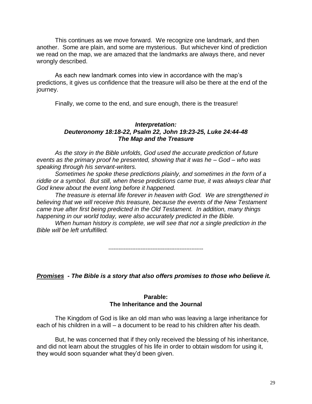This continues as we move forward. We recognize one landmark, and then another. Some are plain, and some are mysterious. But whichever kind of prediction we read on the map, we are amazed that the landmarks are always there, and never wrongly described.

As each new landmark comes into view in accordance with the map"s predictions, it gives us confidence that the treasure will also be there at the end of the journey.

Finally, we come to the end, and sure enough, there is the treasure!

#### *Interpretation: Deuteronomy 18:18-22, Psalm 22, John 19:23-25, Luke 24:44-48 The Map and the Treasure*

*As the story in the Bible unfolds, God used the accurate prediction of future events as the primary proof he presented, showing that it was he – God – who was speaking through his servant-writers.* 

*Sometimes he spoke these predictions plainly, and sometimes in the form of a riddle or a symbol. But still, when these predictions came true, it was always clear that God knew about the event long before it happened.* 

*The treasure is eternal life forever in heaven with God. We are strengthened in believing that we will receive this treasure, because the events of the New Testament came true after first being predicted in the Old Testament. In addition, many things happening in our world today, were also accurately predicted in the Bible.* 

*When human history is complete, we will see that not a single prediction in the Bible will be left unfulfilled.*

*--------------------------------------------------------*

*Promises - The Bible is a story that also offers promises to those who believe it.*

#### **Parable: The Inheritance and the Journal**

The Kingdom of God is like an old man who was leaving a large inheritance for each of his children in a will – a document to be read to his children after his death.

But, he was concerned that if they only received the blessing of his inheritance, and did not learn about the struggles of his life in order to obtain wisdom for using it, they would soon squander what they"d been given.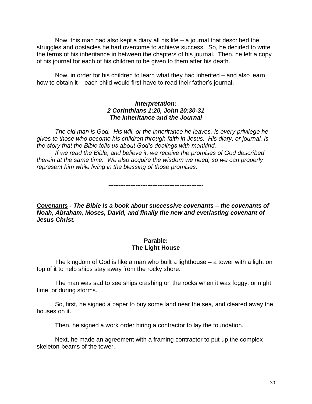Now, this man had also kept a diary all his life – a journal that described the struggles and obstacles he had overcome to achieve success. So, he decided to write the terms of his inheritance in between the chapters of his journal. Then, he left a copy of his journal for each of his children to be given to them after his death.

Now, in order for his children to learn what they had inherited – and also learn how to obtain it – each child would first have to read their father's journal.

#### *Interpretation: 2 Corinthians 1:20, John 20:30-31 The Inheritance and the Journal*

*The old man is God. His will, or the inheritance he leaves, is every privilege he gives to those who become his children through faith in Jesus. His diary, or journal, is the story that the Bible tells us about God's dealings with mankind.*

*If we read the Bible, and believe it, we receive the promises of God described therein at the same time. We also acquire the wisdom we need, so we can properly represent him while living in the blessing of those promises.* 

*--------------------------------------------------------*

*Covenants - The Bible is a book about successive covenants – the covenants of Noah, Abraham, Moses, David, and finally the new and everlasting covenant of Jesus Christ.* 

#### **Parable: The Light House**

The kingdom of God is like a man who built a lighthouse – a tower with a light on top of it to help ships stay away from the rocky shore.

The man was sad to see ships crashing on the rocks when it was foggy, or night time, or during storms.

So, first, he signed a paper to buy some land near the sea, and cleared away the houses on it.

Then, he signed a work order hiring a contractor to lay the foundation.

Next, he made an agreement with a framing contractor to put up the complex skeleton-beams of the tower.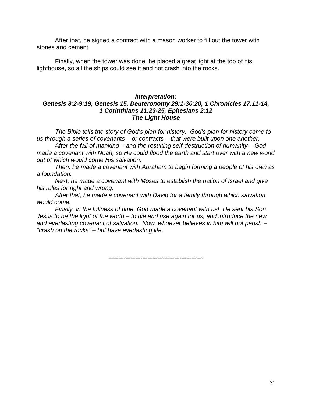After that, he signed a contract with a mason worker to fill out the tower with stones and cement.

Finally, when the tower was done, he placed a great light at the top of his lighthouse, so all the ships could see it and not crash into the rocks.

#### *Interpretation: Genesis 8:2-9:19, Genesis 15, Deuteronomy 29:1-30:20, 1 Chronicles 17:11-14, 1 Corinthians 11:23-25, Ephesians 2:12 The Light House*

*The Bible tells the story of God's plan for history. God's plan for history came to us through a series of covenants – or contracts – that were built upon one another.* 

*After the fall of mankind – and the resulting self-destruction of humanity – God made a covenant with Noah, so He could flood the earth and start over with a new world out of which would come His salvation.* 

*Then, he made a covenant with Abraham to begin forming a people of his own as a foundation.* 

*Next, he made a covenant with Moses to establish the nation of Israel and give his rules for right and wrong.* 

*After that, he made a covenant with David for a family through which salvation would come.* 

*Finally, in the fullness of time, God made a covenant with us! He sent his Son Jesus to be the light of the world – to die and rise again for us, and introduce the new and everlasting covenant of salvation. Now, whoever believes in him will not perish – "crash on the rocks" – but have everlasting life.*

*--------------------------------------------------------*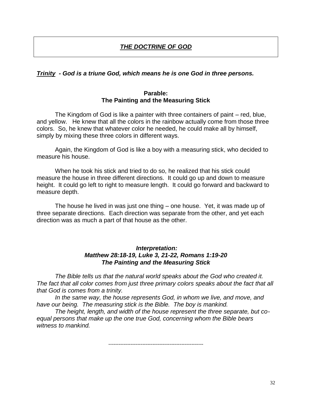#### *THE DOCTRINE OF GOD*

#### *Trinity - God is a triune God, which means he is one God in three persons.*

#### **Parable: The Painting and the Measuring Stick**

The Kingdom of God is like a painter with three containers of paint – red, blue, and yellow. He knew that all the colors in the rainbow actually come from those three colors. So, he knew that whatever color he needed, he could make all by himself, simply by mixing these three colors in different ways.

Again, the Kingdom of God is like a boy with a measuring stick, who decided to measure his house.

When he took his stick and tried to do so, he realized that his stick could measure the house in three different directions. It could go up and down to measure height. It could go left to right to measure length. It could go forward and backward to measure depth.

The house he lived in was just one thing – one house. Yet, it was made up of three separate directions. Each direction was separate from the other, and yet each direction was as much a part of that house as the other.

#### *Interpretation: Matthew 28:18-19, Luke 3, 21-22, Romans 1:19-20 The Painting and the Measuring Stick*

*The Bible tells us that the natural world speaks about the God who created it. The fact that all color comes from just three primary colors speaks about the fact that all that God is comes from a trinity.*

*In the same way, the house represents God, in whom we live, and move, and have our being. The measuring stick is the Bible. The boy is mankind.* 

*The height, length, and width of the house represent the three separate, but coequal persons that make up the one true God, concerning whom the Bible bears witness to mankind.*

*--------------------------------------------------------*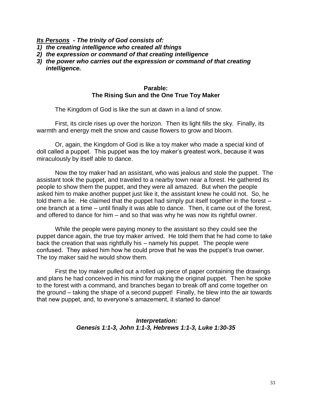*Its Persons - The trinity of God consists of:* 

- *1) the creating intelligence who created all things*
- *2) the expression or command of that creating intelligence*
- *3) the power who carries out the expression or command of that creating intelligence.*

#### **Parable: The Rising Sun and the One True Toy Maker**

The Kingdom of God is like the sun at dawn in a land of snow.

First, its circle rises up over the horizon. Then its light fills the sky. Finally, its warmth and energy melt the snow and cause flowers to grow and bloom.

Or, again, the Kingdom of God is like a toy maker who made a special kind of doll called a puppet. This puppet was the toy maker"s greatest work, because it was miraculously by itself able to dance.

Now the toy maker had an assistant, who was jealous and stole the puppet. The assistant took the puppet, and traveled to a nearby town near a forest. He gathered its people to show them the puppet, and they were all amazed. But when the people asked him to make another puppet just like it, the assistant knew he could not. So, he told them a lie. He claimed that the puppet had simply put itself together in the forest – one branch at a time – until finally it was able to dance. Then, it came out of the forest, and offered to dance for him – and so that was why he was now its rightful owner.

While the people were paying money to the assistant so they could see the puppet dance again, the true toy maker arrived. He told them that he had come to take back the creation that was rightfully his – namely his puppet. The people were confused. They asked him how he could prove that he was the puppet's true owner. The toy maker said he would show them.

First the toy maker pulled out a rolled up piece of paper containing the drawings and plans he had conceived in his mind for making the original puppet. Then he spoke to the forest with a command, and branches began to break off and come together on the ground – taking the shape of a second puppet! Finally, he blew into the air towards that new puppet, and, to everyone's amazement, it started to dance!

#### *Interpretation: Genesis 1:1-3, John 1:1-3, Hebrews 1:1-3, Luke 1:30-35*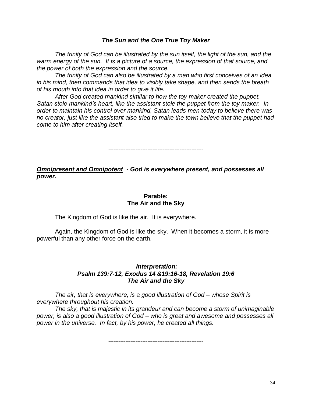#### *The Sun and the One True Toy Maker*

*The trinity of God can be illustrated by the sun itself, the light of the sun, and the warm energy of the sun. It is a picture of a source, the expression of that source, and the power of both the expression and the source.*

*The trinity of God can also be illustrated by a man who first conceives of an idea in his mind, then commands that idea to visibly take shape, and then sends the breath of his mouth into that idea in order to give it life.*

*After God created mankind similar to how the toy maker created the puppet, Satan stole mankind's heart, like the assistant stole the puppet from the toy maker. In order to maintain his control over mankind, Satan leads men today to believe there was no creator, just like the assistant also tried to make the town believe that the puppet had come to him after creating itself.*

*--------------------------------------------------------*

*Omnipresent and Omnipotent - God is everywhere present, and possesses all power.*

#### **Parable: The Air and the Sky**

The Kingdom of God is like the air. It is everywhere.

Again, the Kingdom of God is like the sky. When it becomes a storm, it is more powerful than any other force on the earth.

#### *Interpretation: Psalm 139:7-12, Exodus 14 &19:16-18, Revelation 19:6 The Air and the Sky*

*The air, that is everywhere, is a good illustration of God – whose Spirit is everywhere throughout his creation.*

*The sky, that is majestic in its grandeur and can become a storm of unimaginable power, is also a good illustration of God – who is great and awesome and possesses all power in the universe. In fact, by his power, he created all things.*

*--------------------------------------------------------*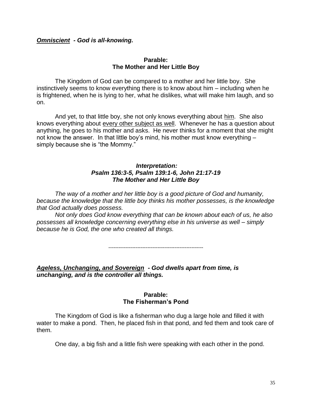#### *Omniscient - God is all-knowing.*

#### **Parable: The Mother and Her Little Boy**

The Kingdom of God can be compared to a mother and her little boy. She instinctively seems to know everything there is to know about him – including when he is frightened, when he is lying to her, what he dislikes, what will make him laugh, and so on.

And yet, to that little boy, she not only knows everything about him. She also knows everything about every other subject as well. Whenever he has a question about anything, he goes to his mother and asks. He never thinks for a moment that she might not know the answer. In that little boy"s mind, his mother must know everything – simply because she is "the Mommy."

#### *Interpretation: Psalm 136:3-5, Psalm 139:1-6, John 21:17-19 The Mother and Her Little Boy*

*The way of a mother and her little boy is a good picture of God and humanity, because the knowledge that the little boy thinks his mother possesses, is the knowledge that God actually does possess.*

*Not only does God know everything that can be known about each of us, he also possesses all knowledge concerning everything else in his universe as well – simply because he is God, the one who created all things.*

*--------------------------------------------------------*

*Ageless, Unchanging, and Sovereign - God dwells apart from time, is unchanging, and is the controller all things.* 

#### **Parable: The Fisherman's Pond**

The Kingdom of God is like a fisherman who dug a large hole and filled it with water to make a pond. Then, he placed fish in that pond, and fed them and took care of them.

One day, a big fish and a little fish were speaking with each other in the pond.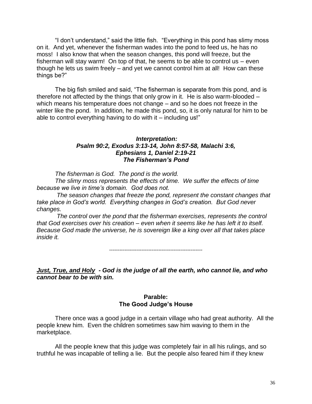"I don"t understand," said the little fish. "Everything in this pond has slimy moss on it. And yet, whenever the fisherman wades into the pond to feed us, he has no moss! I also know that when the season changes, this pond will freeze, but the fisherman will stay warm! On top of that, he seems to be able to control us – even though he lets us swim freely – and yet we cannot control him at all! How can these things be?"

The big fish smiled and said, "The fisherman is separate from this pond, and is therefore not affected by the things that only grow in it. He is also warm-blooded – which means his temperature does not change – and so he does not freeze in the winter like the pond. In addition, he made this pond, so, it is only natural for him to be able to control everything having to do with it  $-$  including us!"

#### *Interpretation: Psalm 90:2, Exodus 3:13-14, John 8:57-58, Malachi 3:6, Ephesians 1, Daniel 2:19-21 The Fisherman"s Pond*

*The fisherman is God. The pond is the world.* 

*The slimy moss represents the effects of time. We suffer the effects of time because we live in time's domain. God does not.*

*The season changes that freeze the pond, represent the constant changes that take place in God's world. Everything changes in God's creation. But God never changes.*

*The control over the pond that the fisherman exercises, represents the control that God exercises over his creation – even when it seems like he has left it to itself. Because God made the universe, he is sovereign like a king over all that takes place inside it.*

*-------------------------------------------------------*

*Just, True, and Holy - God is the judge of all the earth, who cannot lie, and who cannot bear to be with sin.*

#### **Parable: The Good Judge's House**

There once was a good judge in a certain village who had great authority. All the people knew him. Even the children sometimes saw him waving to them in the marketplace.

All the people knew that this judge was completely fair in all his rulings, and so truthful he was incapable of telling a lie. But the people also feared him if they knew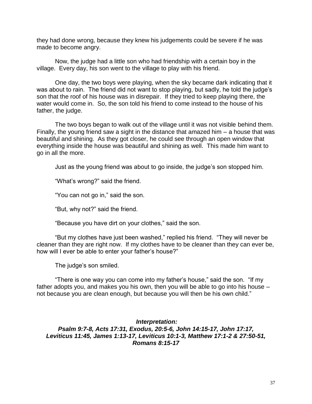they had done wrong, because they knew his judgements could be severe if he was made to become angry.

Now, the judge had a little son who had friendship with a certain boy in the village. Every day, his son went to the village to play with his friend.

One day, the two boys were playing, when the sky became dark indicating that it was about to rain. The friend did not want to stop playing, but sadly, he told the judge's son that the roof of his house was in disrepair. If they tried to keep playing there, the water would come in. So, the son told his friend to come instead to the house of his father, the judge.

The two boys began to walk out of the village until it was not visible behind them. Finally, the young friend saw a sight in the distance that amazed him – a house that was beautiful and shining. As they got closer, he could see through an open window that everything inside the house was beautiful and shining as well. This made him want to go in all the more.

Just as the young friend was about to go inside, the judge"s son stopped him.

"What"s wrong?" said the friend.

"You can not go in," said the son.

"But, why not?" said the friend.

"Because you have dirt on your clothes," said the son.

"But my clothes have just been washed," replied his friend. "They will never be cleaner than they are right now. If my clothes have to be cleaner than they can ever be, how will I ever be able to enter your father's house?"

The judge's son smiled.

"There is one way you can come into my father"s house," said the son. "If my father adopts you, and makes you his own, then you will be able to go into his house – not because you are clean enough, but because you will then be his own child."

### *Interpretation: Psalm 9:7-8, Acts 17:31, Exodus, 20:5-6, John 14:15-17, John 17:17, Leviticus 11:45, James 1:13-17, Leviticus 10:1-3, Matthew 17:1-2 & 27:50-51, Romans 8:15-17*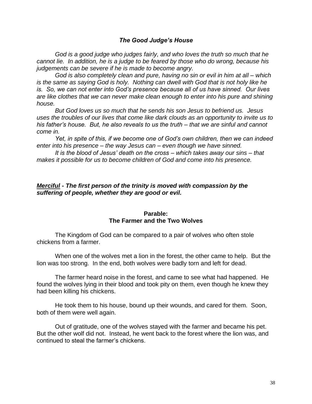### *The Good Judge"s House*

*God is a good judge who judges fairly, and who loves the truth so much that he cannot lie. In addition, he is a judge to be feared by those who do wrong, because his judgements can be severe if he is made to become angry.*

*God is also completely clean and pure, having no sin or evil in him at all – which is the same as saying God is holy. Nothing can dwell with God that is not holy like he is. So, we can not enter into God's presence because all of us have sinned. Our lives are like clothes that we can never make clean enough to enter into his pure and shining house.*

*But God loves us so much that he sends his son Jesus to befriend us. Jesus uses the troubles of our lives that come like dark clouds as an opportunity to invite us to his father's house. But, he also reveals to us the truth – that we are sinful and cannot come in.*

*Yet, in spite of this, if we become one of God's own children, then we can indeed enter into his presence – the way Jesus can – even though we have sinned.* 

*It is the blood of Jesus' death on the cross – which takes away our sins – that makes it possible for us to become children of God and come into his presence.* 

### *Merciful - The first person of the trinity is moved with compassion by the suffering of people, whether they are good or evil.*

## **Parable: The Farmer and the Two Wolves**

The Kingdom of God can be compared to a pair of wolves who often stole chickens from a farmer.

When one of the wolves met a lion in the forest, the other came to help. But the lion was too strong. In the end, both wolves were badly torn and left for dead.

The farmer heard noise in the forest, and came to see what had happened. He found the wolves lying in their blood and took pity on them, even though he knew they had been killing his chickens.

He took them to his house, bound up their wounds, and cared for them. Soon, both of them were well again.

Out of gratitude, one of the wolves stayed with the farmer and became his pet. But the other wolf did not. Instead, he went back to the forest where the lion was, and continued to steal the farmer"s chickens.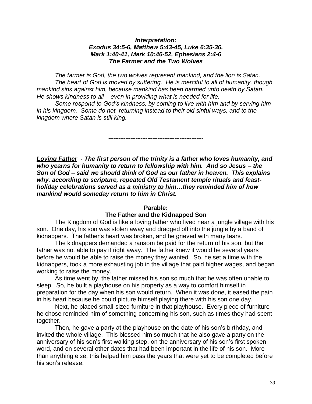### *Interpretation: Exodus 34:5-6, Matthew 5:43-45, Luke 6:35-36, Mark 1:40-41, Mark 10:46-52, Ephesians 2:4-6 The Farmer and the Two Wolves*

*The farmer is God, the two wolves represent mankind, and the lion is Satan. The heart of God is moved by suffering. He is merciful to all of humanity, though mankind sins against him, because mankind has been harmed unto death by Satan. He shows kindness to all – even in providing what is needed for life.* 

*Some respond to God's kindness, by coming to live with him and by serving him in his kingdom. Some do not, returning instead to their old sinful ways, and to the kingdom where Satan is still king.*

*--------------------------------------------------------*

*Loving Father - The first person of the trinity is a father who loves humanity, and who yearns for humanity to return to fellowship with him. And so Jesus – the Son of God – said we should think of God as our father in heaven. This explains why, according to scripture, repeated Old Testament temple rituals and feastholiday celebrations served as a ministry to him…they reminded him of how mankind would someday return to him in Christ.*

### **Parable:**

## **The Father and the Kidnapped Son**

The Kingdom of God is like a loving father who lived near a jungle village with his son. One day, his son was stolen away and dragged off into the jungle by a band of kidnappers. The father"s heart was broken, and he grieved with many tears.

The kidnappers demanded a ransom be paid for the return of his son, but the father was not able to pay it right away. The father knew it would be several years before he would be able to raise the money they wanted. So, he set a time with the kidnappers, took a more exhausting job in the village that paid higher wages, and began working to raise the money.

As time went by, the father missed his son so much that he was often unable to sleep. So, he built a playhouse on his property as a way to comfort himself in preparation for the day when his son would return. When it was done, it eased the pain in his heart because he could picture himself playing there with his son one day.

Next, he placed small-sized furniture in that playhouse. Every piece of furniture he chose reminded him of something concerning his son, such as times they had spent together.

Then, he gave a party at the playhouse on the date of his son"s birthday, and invited the whole village. This blessed him so much that he also gave a party on the anniversary of his son's first walking step, on the anniversary of his son's first spoken word, and on several other dates that had been important in the life of his son. More than anything else, this helped him pass the years that were yet to be completed before his son"s release.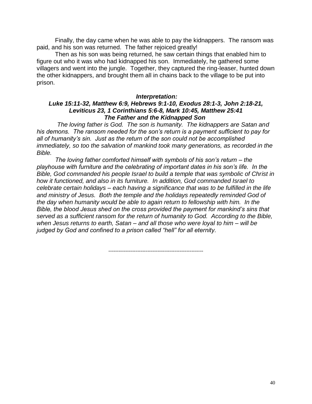Finally, the day came when he was able to pay the kidnappers. The ransom was paid, and his son was returned. The father rejoiced greatly!

Then as his son was being returned, he saw certain things that enabled him to figure out who it was who had kidnapped his son. Immediately, he gathered some villagers and went into the jungle. Together, they captured the ring-leaser, hunted down the other kidnappers, and brought them all in chains back to the village to be put into prison.

### *Interpretation:*

### *Luke 15:11-32, Matthew 6:9, Hebrews 9:1-10, Exodus 28:1-3, John 2:18-21, Leviticus 23, 1 Corinthians 5:6-8, Mark 10:45, Matthew 25:41 The Father and the Kidnapped Son*

 *The loving father is God. The son is humanity. The kidnappers are Satan and his demons. The ransom needed for the son's return is a payment sufficient to pay for all of humanity's sin. Just as the return of the son could not be accomplished immediately, so too the salvation of mankind took many generations, as recorded in the Bible.* 

*The loving father comforted himself with symbols of his son's return – the playhouse with furniture and the celebrating of important dates in his son's life. In the Bible, God commanded his people Israel to build a temple that was symbolic of Christ in how it functioned, and also in its furniture. In addition, God commanded Israel to celebrate certain holidays – each having a significance that was to be fulfilled in the life and ministry of Jesus. Both the temple and the holidays repeatedly reminded God of the day when humanity would be able to again return to fellowship with him. In the Bible, the blood Jesus shed on the cross provided the payment for mankind's sins that served as a sufficient ransom for the return of humanity to God. According to the Bible, when Jesus returns to earth, Satan – and all those who were loyal to him – will be judged by God and confined to a prison called "hell" for all eternity.*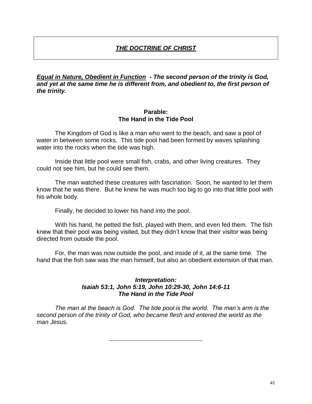# *THE DOCTRINE OF CHRIST*

*Equal in Nature, Obedient in Function - The second person of the trinity is God, and yet at the same time he is different from, and obedient to, the first person of the trinity.* 

### **Parable: The Hand in the Tide Pool**

The Kingdom of God is like a man who went to the beach, and saw a pool of water in between some rocks. This tide pool had been formed by waves splashing water into the rocks when the tide was high.

Inside that little pool were small fish, crabs, and other living creatures. They could not see him, but he could see them.

The man watched these creatures with fascination. Soon, he wanted to let them know that he was there. But he knew he was much too big to go into that little pool with his whole body.

Finally, he decided to lower his hand into the pool.

With his hand, he petted the fish, played with them, and even fed them. The fish knew that their pool was being visited, but they didn"t know that their visitor was being directed from outside the pool.

For, the man was now outside the pool, and inside of it, at the same time. The hand that the fish saw was the man himself, but also an obedient extension of that man.

## *Interpretation: Isaiah 53:1, John 5:19, John 10:29-30, John 14:6-11 The Hand in the Tide Pool*

*The man at the beach is God. The tide pool is the world. The man's arm is the second person of the trinity of God, who became flesh and entered the world as the man Jesus.*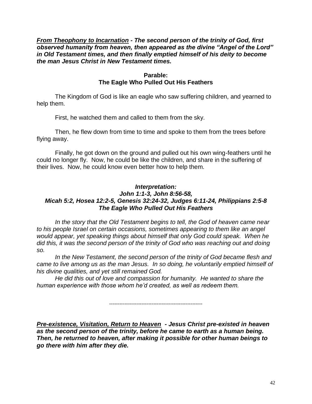*From Theophony to Incarnation - The second person of the trinity of God, first observed humanity from heaven, then appeared as the divine "Angel of the Lord" in Old Testament times, and then finally emptied himself of his deity to become the man Jesus Christ in New Testament times.*

## **Parable: The Eagle Who Pulled Out His Feathers**

The Kingdom of God is like an eagle who saw suffering children, and yearned to help them.

First, he watched them and called to them from the sky.

Then, he flew down from time to time and spoke to them from the trees before flying away.

Finally, he got down on the ground and pulled out his own wing-feathers until he could no longer fly. Now, he could be like the children, and share in the suffering of their lives. Now, he could know even better how to help them.

## *Interpretation: John 1:1-3, John 8:56-58, Micah 5:2, Hosea 12:2-5, Genesis 32:24-32, Judges 6:11-24, Philippians 2:5-8 The Eagle Who Pulled Out His Feathers*

*In the story that the Old Testament begins to tell, the God of heaven came near to his people Israel on certain occasions, sometimes appearing to them like an angel would appear, yet speaking things about himself that only God could speak. When he did this, it was the second person of the trinity of God who was reaching out and doing so.* 

*In the New Testament, the second person of the trinity of God became flesh and came to live among us as the man Jesus. In so doing, he voluntarily emptied himself of his divine qualities, and yet still remained God.* 

*He did this out of love and compassion for humanity. He wanted to share the human experience with those whom he'd created, as well as redeem them.*

*-------------------------------------------------------*

*Pre-existence, Visitation, Return to Heaven - Jesus Christ pre-existed in heaven as the second person of the trinity, before he came to earth as a human being. Then, he returned to heaven, after making it possible for other human beings to go there with him after they die.*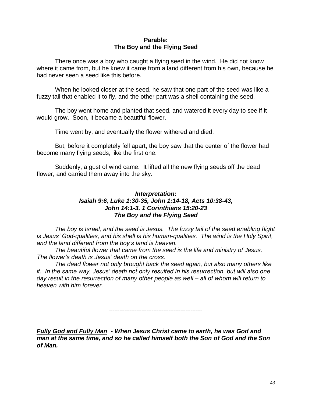## **Parable: The Boy and the Flying Seed**

There once was a boy who caught a flying seed in the wind. He did not know where it came from, but he knew it came from a land different from his own, because he had never seen a seed like this before.

When he looked closer at the seed, he saw that one part of the seed was like a fuzzy tail that enabled it to fly, and the other part was a shell containing the seed.

The boy went home and planted that seed, and watered it every day to see if it would grow. Soon, it became a beautiful flower.

Time went by, and eventually the flower withered and died.

But, before it completely fell apart, the boy saw that the center of the flower had become many flying seeds, like the first one.

Suddenly, a gust of wind came. It lifted all the new flying seeds off the dead flower, and carried them away into the sky.

## *Interpretation: Isaiah 9:6, Luke 1:30-35, John 1:14-18, Acts 10:38-43, John 14:1-3, 1 Corinthians 15:20-23 The Boy and the Flying Seed*

*The boy is Israel, and the seed is Jesus. The fuzzy tail of the seed enabling flight is Jesus' God-qualities, and his shell is his human-qualities. The wind is the Holy Spirit, and the land different from the boy's land is heaven.*

*The beautiful flower that came from the seed is the life and ministry of Jesus. The flower's death is Jesus' death on the cross.*

*The dead flower not only brought back the seed again, but also many others like it. In the same way, Jesus' death not only resulted in his resurrection, but will also one day result in the resurrection of many other people as well – all of whom will return to heaven with him forever.* 

*-------------------------------------------------------*

*Fully God and Fully Man - When Jesus Christ came to earth, he was God and man at the same time, and so he called himself both the Son of God and the Son of Man.*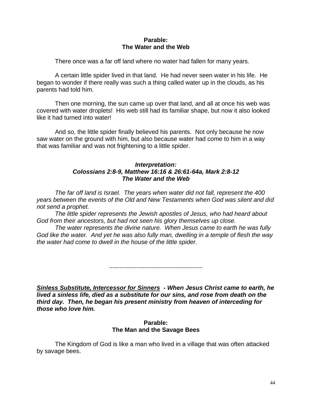## **Parable: The Water and the Web**

There once was a far off land where no water had fallen for many years.

A certain little spider lived in that land. He had never seen water in his life. He began to wonder if there really was such a thing called water up in the clouds, as his parents had told him.

Then one morning, the sun came up over that land, and all at once his web was covered with water droplets! His web still had its familiar shape, but now it also looked like it had turned into water!

And so, the little spider finally believed his parents. Not only because he now saw water on the ground with him, but also because water had come to him in a way that was familiar and was not frightening to a little spider.

## *Interpretation: Colossians 2:8-9, Matthew 16:16 & 26:61-64a, Mark 2:8-12 The Water and the Web*

*The far off land is Israel. The years when water did not fall, represent the 400 years between the events of the Old and New Testaments when God was silent and did not send a prophet.*

*The little spider represents the Jewish apostles of Jesus, who had heard about God from their ancestors, but had not seen his glory themselves up close.*

*The water represents the divine nature. When Jesus came to earth he was fully God like the water. And yet he was also fully man, dwelling in a temple of flesh the way the water had come to dwell in the house of the little spider.*

*-------------------------------------------------------*

*Sinless Substitute, Intercessor for Sinners - When Jesus Christ came to earth, he lived a sinless life, died as a substitute for our sins, and rose from death on the third day. Then, he began his present ministry from heaven of interceding for those who love him.* 

## **Parable: The Man and the Savage Bees**

The Kingdom of God is like a man who lived in a village that was often attacked by savage bees.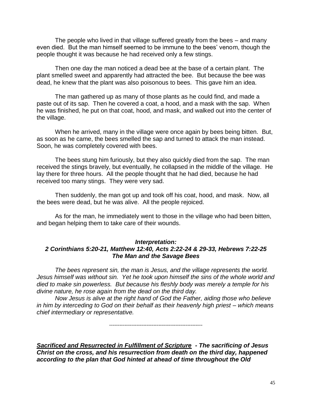The people who lived in that village suffered greatly from the bees – and many even died. But the man himself seemed to be immune to the bees' venom, though the people thought it was because he had received only a few stings.

Then one day the man noticed a dead bee at the base of a certain plant. The plant smelled sweet and apparently had attracted the bee. But because the bee was dead, he knew that the plant was also poisonous to bees. This gave him an idea.

The man gathered up as many of those plants as he could find, and made a paste out of its sap. Then he covered a coat, a hood, and a mask with the sap. When he was finished, he put on that coat, hood, and mask, and walked out into the center of the village.

When he arrived, many in the village were once again by bees being bitten. But, as soon as he came, the bees smelled the sap and turned to attack the man instead. Soon, he was completely covered with bees.

The bees stung him furiously, but they also quickly died from the sap. The man received the stings bravely, but eventually, he collapsed in the middle of the village. He lay there for three hours. All the people thought that he had died, because he had received too many stings. They were very sad.

Then suddenly, the man got up and took off his coat, hood, and mask. Now, all the bees were dead, but he was alive. All the people rejoiced.

As for the man, he immediately went to those in the village who had been bitten, and began helping them to take care of their wounds.

#### *Interpretation:*

## *2 Corinthians 5:20-21, Matthew 12:40, Acts 2:22-24 & 29-33, Hebrews 7:22-25 The Man and the Savage Bees*

*The bees represent sin, the man is Jesus, and the village represents the world. Jesus himself was without sin. Yet he took upon himself the sins of the whole world and died to make sin powerless. But because his fleshly body was merely a temple for his divine nature, he rose again from the dead on the third day.* 

*Now Jesus is alive at the right hand of God the Father, aiding those who believe in him by interceding to God on their behalf as their heavenly high priest – which means chief intermediary or representative.*

*-------------------------------------------------------*

*Sacrificed and Resurrected in Fulfillment of Scripture - The sacrificing of Jesus Christ on the cross, and his resurrection from death on the third day, happened according to the plan that God hinted at ahead of time throughout the Old*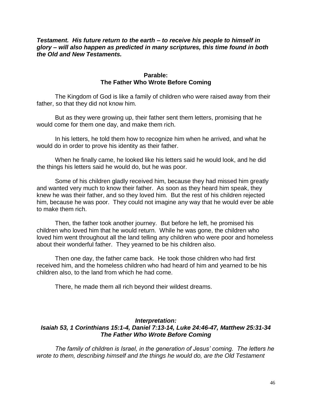### *Testament. His future return to the earth – to receive his people to himself in glory – will also happen as predicted in many scriptures, this time found in both the Old and New Testaments.*

## **Parable: The Father Who Wrote Before Coming**

The Kingdom of God is like a family of children who were raised away from their father, so that they did not know him.

But as they were growing up, their father sent them letters, promising that he would come for them one day, and make them rich.

In his letters, he told them how to recognize him when he arrived, and what he would do in order to prove his identity as their father.

When he finally came, he looked like his letters said he would look, and he did the things his letters said he would do, but he was poor.

Some of his children gladly received him, because they had missed him greatly and wanted very much to know their father. As soon as they heard him speak, they knew he was their father, and so they loved him. But the rest of his children rejected him, because he was poor. They could not imagine any way that he would ever be able to make them rich.

Then, the father took another journey. But before he left, he promised his children who loved him that he would return. While he was gone, the children who loved him went throughout all the land telling any children who were poor and homeless about their wonderful father. They yearned to be his children also.

Then one day, the father came back. He took those children who had first received him, and the homeless children who had heard of him and yearned to be his children also, to the land from which he had come.

There, he made them all rich beyond their wildest dreams.

## *Interpretation: Isaiah 53, 1 Corinthians 15:1-4, Daniel 7:13-14, Luke 24:46-47, Matthew 25:31-34 The Father Who Wrote Before Coming*

*The family of children is Israel, in the generation of Jesus' coming. The letters he wrote to them, describing himself and the things he would do, are the Old Testament*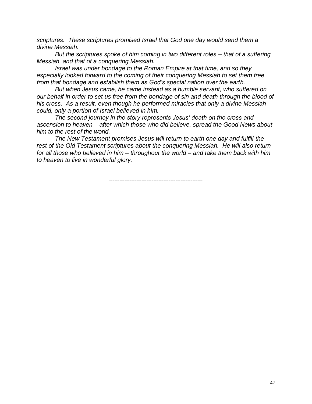*scriptures. These scriptures promised Israel that God one day would send them a divine Messiah.* 

*But the scriptures spoke of him coming in two different roles – that of a suffering Messiah, and that of a conquering Messiah.* 

*Israel was under bondage to the Roman Empire at that time, and so they especially looked forward to the coming of their conquering Messiah to set them free from that bondage and establish them as God's special nation over the earth.* 

*But when Jesus came, he came instead as a humble servant, who suffered on our behalf in order to set us free from the bondage of sin and death through the blood of his cross. As a result, even though he performed miracles that only a divine Messiah could, only a portion of Israel believed in him.*

*The second journey in the story represents Jesus' death on the cross and ascension to heaven – after which those who did believe, spread the Good News about him to the rest of the world.* 

*The New Testament promises Jesus will return to earth one day and fulfill the rest of the Old Testament scriptures about the conquering Messiah. He will also return for all those who believed in him – throughout the world – and take them back with him to heaven to live in wonderful glory.*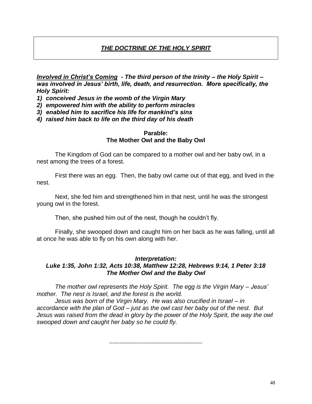# *THE DOCTRINE OF THE HOLY SPIRIT*

*Involved in Christ"s Coming - The third person of the trinity – the Holy Spirit – was involved in Jesus" birth, life, death, and resurrection. More specifically, the Holy Spirit:* 

*1) conceived Jesus in the womb of the Virgin Mary* 

*2) empowered him with the ability to perform miracles*

*3) enabled him to sacrifice his life for mankind"s sins*

*4) raised him back to life on the third day of his death*

### **Parable: The Mother Owl and the Baby Owl**

The Kingdom of God can be compared to a mother owl and her baby owl, in a nest among the trees of a forest.

First there was an egg. Then, the baby owl came out of that egg, and lived in the nest.

Next, she fed him and strengthened him in that nest, until he was the strongest young owl in the forest.

Then, she pushed him out of the nest, though he couldn"t fly.

Finally, she swooped down and caught him on her back as he was falling, until all at once he was able to fly on his own along with her.

## *Interpretation:*

# *Luke 1:35, John 1:32, Acts 10:38, Matthew 12:28, Hebrews 9:14, 1 Peter 3:18 The Mother Owl and the Baby Owl*

*The mother owl represents the Holy Spirit. The egg is the Virgin Mary – Jesus' mother. The nest is Israel, and the forest is the world.*

*Jesus was born of the Virgin Mary. He was also crucified in Israel – in accordance with the plan of God – just as the owl cast her baby out of the nest. But Jesus was raised from the dead in glory by the power of the Holy Spirit, the way the owl swooped down and caught her baby so he could fly.*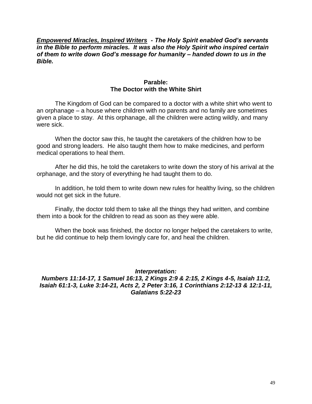*Empowered Miracles, Inspired Writers - The Holy Spirit enabled God"s servants in the Bible to perform miracles. It was also the Holy Spirit who inspired certain of them to write down God"s message for humanity – handed down to us in the Bible.* 

### **Parable: The Doctor with the White Shirt**

The Kingdom of God can be compared to a doctor with a white shirt who went to an orphanage – a house where children with no parents and no family are sometimes given a place to stay. At this orphanage, all the children were acting wildly, and many were sick.

When the doctor saw this, he taught the caretakers of the children how to be good and strong leaders. He also taught them how to make medicines, and perform medical operations to heal them.

After he did this, he told the caretakers to write down the story of his arrival at the orphanage, and the story of everything he had taught them to do.

In addition, he told them to write down new rules for healthy living, so the children would not get sick in the future.

Finally, the doctor told them to take all the things they had written, and combine them into a book for the children to read as soon as they were able.

When the book was finished, the doctor no longer helped the caretakers to write, but he did continue to help them lovingly care for, and heal the children.

*Interpretation: Numbers 11:14-17, 1 Samuel 16:13, 2 Kings 2:9 & 2:15, 2 Kings 4-5, Isaiah 11:2, Isaiah 61:1-3, Luke 3:14-21, Acts 2, 2 Peter 3:16, 1 Corinthians 2:12-13 & 12:1-11, Galatians 5:22-23*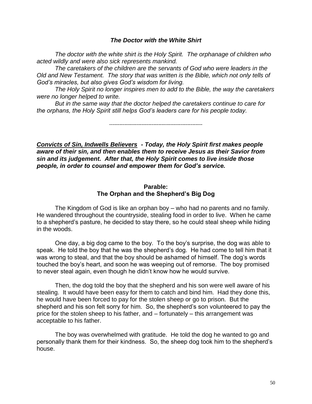#### *The Doctor with the White Shirt*

*The doctor with the white shirt is the Holy Spirit. The orphanage of children who acted wildly and were also sick represents mankind.* 

*The caretakers of the children are the servants of God who were leaders in the Old and New Testament. The story that was written is the Bible, which not only tells of God's miracles, but also gives God's wisdom for living.* 

*The Holy Spirit no longer inspires men to add to the Bible, the way the caretakers were no longer helped to write.* 

*But in the same way that the doctor helped the caretakers continue to care for the orphans, the Holy Spirit still helps God's leaders care for his people today.*

*-------------------------------------------------------*

*Convicts of Sin, Indwells Believers - Today, the Holy Spirit first makes people aware of their sin, and then enables them to receive Jesus as their Savior from sin and its judgement. After that, the Holy Spirit comes to live inside those people, in order to counsel and empower them for God"s service.* 

### **Parable: The Orphan and the Shepherd's Big Dog**

The Kingdom of God is like an orphan boy – who had no parents and no family. He wandered throughout the countryside, stealing food in order to live. When he came to a shepherd"s pasture, he decided to stay there, so he could steal sheep while hiding in the woods.

One day, a big dog came to the boy. To the boy"s surprise, the dog was able to speak. He told the boy that he was the shepherd"s dog. He had come to tell him that it was wrong to steal, and that the boy should be ashamed of himself. The dog's words touched the boy"s heart, and soon he was weeping out of remorse. The boy promised to never steal again, even though he didn"t know how he would survive.

Then, the dog told the boy that the shepherd and his son were well aware of his stealing. It would have been easy for them to catch and bind him. Had they done this, he would have been forced to pay for the stolen sheep or go to prison. But the shepherd and his son felt sorry for him. So, the shepherd"s son volunteered to pay the price for the stolen sheep to his father, and – fortunately – this arrangement was acceptable to his father.

The boy was overwhelmed with gratitude. He told the dog he wanted to go and personally thank them for their kindness. So, the sheep dog took him to the shepherd"s house.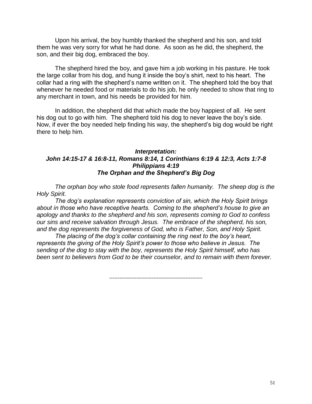Upon his arrival, the boy humbly thanked the shepherd and his son, and told them he was very sorry for what he had done. As soon as he did, the shepherd, the son, and their big dog, embraced the boy.

The shepherd hired the boy, and gave him a job working in his pasture. He took the large collar from his dog, and hung it inside the boy"s shirt, next to his heart. The collar had a ring with the shepherd"s name written on it. The shepherd told the boy that whenever he needed food or materials to do his job, he only needed to show that ring to any merchant in town, and his needs be provided for him.

In addition, the shepherd did that which made the boy happiest of all. He sent his dog out to go with him. The shepherd told his dog to never leave the boy's side. Now, if ever the boy needed help finding his way, the shepherd"s big dog would be right there to help him.

### *Interpretation: John 14:15-17 & 16:8-11, Romans 8:14, 1 Corinthians 6:19 & 12:3, Acts 1:7-8 Philippians 4:19 The Orphan and the Shepherd"s Big Dog*

*The orphan boy who stole food represents fallen humanity. The sheep dog is the Holy Spirit.*

*The dog's explanation represents conviction of sin, which the Holy Spirit brings about in those who have receptive hearts. Coming to the shepherd's house to give an apology and thanks to the shepherd and his son, represents coming to God to confess our sins and receive salvation through Jesus. The embrace of the shepherd, his son, and the dog represents the forgiveness of God, who is Father, Son, and Holy Spirit.*

*The placing of the dog's collar containing the ring next to the boy's heart, represents the giving of the Holy Spirit's power to those who believe in Jesus. The sending of the dog to stay with the boy, represents the Holy Spirit himself, who has been sent to believers from God to be their counselor, and to remain with them forever.*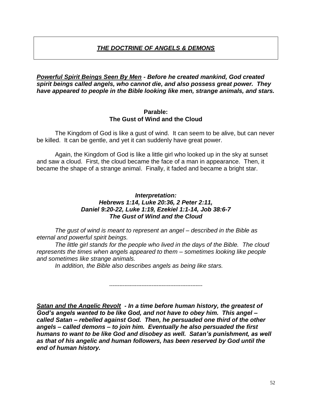# *THE DOCTRINE OF ANGELS & DEMONS*

## *Powerful Spirit Beings Seen By Men - Before he created mankind, God created spirit beings called angels, who cannot die, and also possess great power. They have appeared to people in the Bible looking like men, strange animals, and stars.*

### **Parable: The Gust of Wind and the Cloud**

The Kingdom of God is like a gust of wind. It can seem to be alive, but can never be killed. It can be gentle, and yet it can suddenly have great power.

Again, the Kingdom of God is like a little girl who looked up in the sky at sunset and saw a cloud. First, the cloud became the face of a man in appearance. Then, it became the shape of a strange animal. Finally, it faded and became a bright star.

## *Interpretation: Hebrews 1:14, Luke 20:36, 2 Peter 2:11, Daniel 9:20-22, Luke 1:19, Ezekiel 1:1-14, Job 38:6-7 The Gust of Wind and the Cloud*

*The gust of wind is meant to represent an angel – described in the Bible as eternal and powerful spirit beings.* 

*The little girl stands for the people who lived in the days of the Bible. The cloud represents the times when angels appeared to them – sometimes looking like people and sometimes like strange animals.* 

*In addition, the Bible also describes angels as being like stars.*

*-------------------------------------------------------*

*Satan and the Angelic Revolt - In a time before human history, the greatest of God"s angels wanted to be like God, and not have to obey him. This angel – called Satan – rebelled against God. Then, he persuaded one third of the other angels – called demons – to join him. Eventually he also persuaded the first humans to want to be like God and disobey as well. Satan"s punishment, as well as that of his angelic and human followers, has been reserved by God until the end of human history.*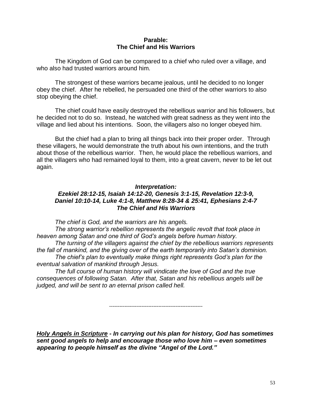## **Parable: The Chief and His Warriors**

The Kingdom of God can be compared to a chief who ruled over a village, and who also had trusted warriors around him.

The strongest of these warriors became jealous, until he decided to no longer obey the chief. After he rebelled, he persuaded one third of the other warriors to also stop obeying the chief.

The chief could have easily destroyed the rebellious warrior and his followers, but he decided not to do so. Instead, he watched with great sadness as they went into the village and lied about his intentions. Soon, the villagers also no longer obeyed him.

But the chief had a plan to bring all things back into their proper order. Through these villagers, he would demonstrate the truth about his own intentions, and the truth about those of the rebellious warrior. Then, he would place the rebellious warriors, and all the villagers who had remained loyal to them, into a great cavern, never to be let out again.

### *Interpretation:*

## *Ezekiel 28:12-15, Isaiah 14:12-20, Genesis 3:1-15, Revelation 12:3-9, Daniel 10:10-14, Luke 4:1-8, Matthew 8:28-34 & 25:41, Ephesians 2:4-7 The Chief and His Warriors*

*The chief is God, and the warriors are his angels.*

*The strong warrior's rebellion represents the angelic revolt that took place in heaven among Satan and one third of God's angels before human history.* 

*The turning of the villagers against the chief by the rebellious warriors represents the fall of mankind, and the giving over of the earth temporarily into Satan's dominion. The chief's plan to eventually make things right represents God's plan for the eventual salvation of mankind through Jesus.* 

*The full course of human history will vindicate the love of God and the true consequences of following Satan. After that, Satan and his rebellious angels will be judged, and will be sent to an eternal prison called hell.* 

*-------------------------------------------------------*

*Holy Angels in Scripture - In carrying out his plan for history, God has sometimes sent good angels to help and encourage those who love him – even sometimes appearing to people himself as the divine "Angel of the Lord."*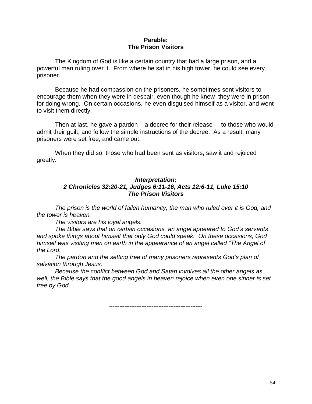## **Parable: The Prison Visitors**

The Kingdom of God is like a certain country that had a large prison, and a powerful man ruling over it. From where he sat in his high tower, he could see every prisoner.

Because he had compassion on the prisoners, he sometimes sent visitors to encourage them when they were in despair, even though he knew they were in prison for doing wrong. On certain occasions, he even disguised himself as a visitor, and went to visit them directly.

Then at last, he gave a pardon – a decree for their release – to those who would admit their guilt, and follow the simple instructions of the decree. As a result, many prisoners were set free, and came out.

When they did so, those who had been sent as visitors, saw it and rejoiced greatly.

## *Interpretation: 2 Chronicles 32:20-21, Judges 6:11-16, Acts 12:6-11, Luke 15:10 The Prison Visitors*

*The prison is the world of fallen humanity, the man who ruled over it is God, and the tower is heaven.*

*The visitors are his loyal angels.* 

*The Bible says that on certain occasions, an angel appeared to God's servants and spoke things about himself that only God could speak. On these occasions, God himself was visiting men on earth in the appearance of an angel called "The Angel of the Lord."*

*The pardon and the setting free of many prisoners represents God's plan of salvation through Jesus.*

*Because the conflict between God and Satan involves all the other angels as well, the Bible says that the good angels in heaven rejoice when even one sinner is set free by God.*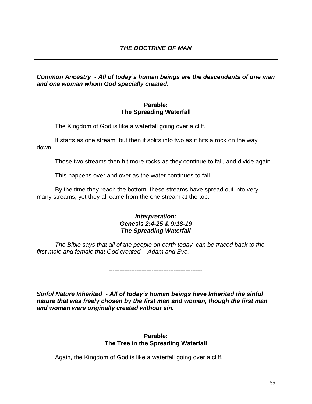# *THE DOCTRINE OF MAN*

## *Common Ancestry - All of today"s human beings are the descendants of one man and one woman whom God specially created.*

## **Parable: The Spreading Waterfall**

The Kingdom of God is like a waterfall going over a cliff.

It starts as one stream, but then it splits into two as it hits a rock on the way down.

Those two streams then hit more rocks as they continue to fall, and divide again.

This happens over and over as the water continues to fall.

By the time they reach the bottom, these streams have spread out into very many streams, yet they all came from the one stream at the top.

### *Interpretation: Genesis 2:4-25 & 9:18-19 The Spreading Waterfall*

*The Bible says that all of the people on earth today, can be traced back to the first male and female that God created – Adam and Eve.*

*-------------------------------------------------------*

*Sinful Nature Inherited - All of today"s human beings have Inherited the sinful nature that was freely chosen by the first man and woman, though the first man and woman were originally created without sin.*

## **Parable: The Tree in the Spreading Waterfall**

Again, the Kingdom of God is like a waterfall going over a cliff.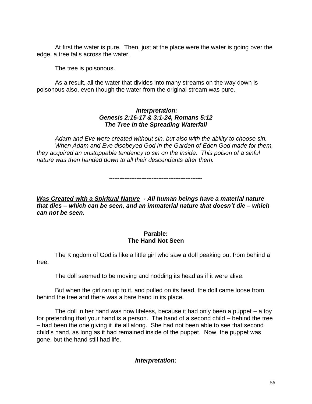At first the water is pure. Then, just at the place were the water is going over the edge, a tree falls across the water.

The tree is poisonous.

As a result, all the water that divides into many streams on the way down is poisonous also, even though the water from the original stream was pure.

# *Interpretation: Genesis 2:16-17 & 3:1-24, Romans 5:12 The Tree in the Spreading Waterfall*

*Adam and Eve were created without sin, but also with the ability to choose sin. When Adam and Eve disobeyed God in the Garden of Eden God made for them, they acquired an unstoppable tendency to sin on the inside. This poison of a sinful nature was then handed down to all their descendants after them.* 

*-------------------------------------------------------*

*Was Created with a Spiritual Nature - All human beings have a material nature that dies – which can be seen, and an immaterial nature that doesn"t die – which can not be seen.*

## **Parable: The Hand Not Seen**

The Kingdom of God is like a little girl who saw a doll peaking out from behind a tree.

The doll seemed to be moving and nodding its head as if it were alive.

But when the girl ran up to it, and pulled on its head, the doll came loose from behind the tree and there was a bare hand in its place.

The doll in her hand was now lifeless, because it had only been a puppet – a toy for pretending that your hand is a person. The hand of a second child – behind the tree – had been the one giving it life all along. She had not been able to see that second child"s hand, as long as it had remained inside of the puppet. Now, the puppet was gone, but the hand still had life.

# *Interpretation:*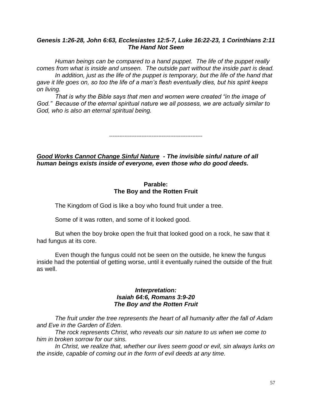### *Genesis 1:26-28, John 6:63, Ecclesiastes 12:5-7, Luke 16:22-23, 1 Corinthians 2:11 The Hand Not Seen*

*Human beings can be compared to a hand puppet. The life of the puppet really comes from what is inside and unseen. The outside part without the inside part is dead. In addition, just as the life of the puppet is temporary, but the life of the hand that* 

*gave it life goes on, so too the life of a man's flesh eventually dies, but his spirit keeps on living.*

*That is why the Bible says that men and women were created "in the image of God." Because of the eternal spiritual nature we all possess, we are actually similar to God, who is also an eternal spiritual being.* 

*-------------------------------------------------------*

## *Good Works Cannot Change Sinful Nature - The invisible sinful nature of all human beings exists inside of everyone, even those who do good deeds.*

### **Parable: The Boy and the Rotten Fruit**

The Kingdom of God is like a boy who found fruit under a tree.

Some of it was rotten, and some of it looked good.

But when the boy broke open the fruit that looked good on a rock, he saw that it had fungus at its core.

Even though the fungus could not be seen on the outside, he knew the fungus inside had the potential of getting worse, until it eventually ruined the outside of the fruit as well.

## *Interpretation: Isaiah 64:6, Romans 3:9-20 The Boy and the Rotten Fruit*

*The fruit under the tree represents the heart of all humanity after the fall of Adam and Eve in the Garden of Eden.* 

*The rock represents Christ, who reveals our sin nature to us when we come to him in broken sorrow for our sins.* 

*In Christ, we realize that, whether our lives seem good or evil, sin always lurks on the inside, capable of coming out in the form of evil deeds at any time.*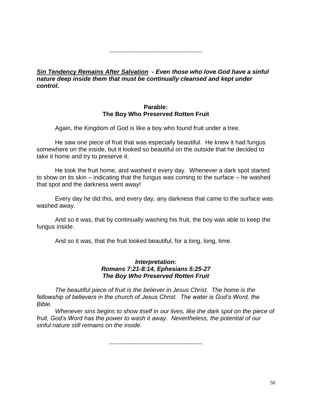*-------------------------------------------------------*

## *Sin Tendency Remains After Salvation - Even those who love God have a sinful nature deep inside them that must be continually cleansed and kept under control.*

## **Parable: The Boy Who Preserved Rotten Fruit**

Again, the Kingdom of God is like a boy who found fruit under a tree.

He saw one piece of fruit that was especially beautiful. He knew it had fungus somewhere on the inside, but it looked so beautiful on the outside that he decided to take it home and try to preserve it.

He took the fruit home, and washed it every day. Whenever a dark spot started to show on its skin – indicating that the fungus was coming to the surface – he washed that spot and the darkness went away!

Every day he did this, and every day, any darkness that came to the surface was washed away.

And so it was, that by continually washing his fruit, the boy was able to keep the fungus inside.

And so it was, that the fruit looked beautiful, for a long, long, time.

### *Interpretation: Romans 7:21-8:14, Ephesians 5:25-27 The Boy Who Preserved Rotten Fruit*

*The beautiful piece of fruit is the believer in Jesus Christ. The home is the fellowship of believers in the church of Jesus Christ. The water is God's Word, the Bible.* 

*Whenever sins begins to show itself in our lives, like the dark spot on the piece of fruit, God's Word has the power to wash it away. Nevertheless, the potential of our sinful nature still remains on the inside.*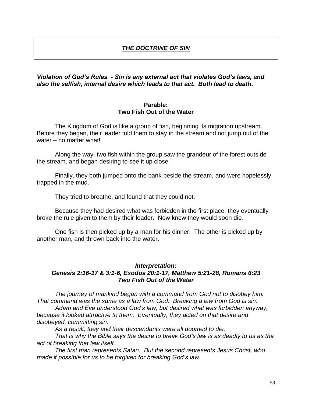# *THE DOCTRINE OF SIN*

### *Violation of God"s Rules - Sin is any external act that violates God"s laws, and also the selfish, internal desire which leads to that act. Both lead to death.*

### **Parable: Two Fish Out of the Water**

The Kingdom of God is like a group of fish, beginning its migration upstream. Before they began, their leader told them to stay in the stream and not jump out of the water – no matter what!

Along the way, two fish within the group saw the grandeur of the forest outside the stream, and began desiring to see it up close.

Finally, they both jumped onto the bank beside the stream, and were hopelessly trapped in the mud.

They tried to breathe, and found that they could not.

Because they had desired what was forbidden in the first place, they eventually broke the rule given to them by their leader. Now knew they would soon die.

One fish is then picked up by a man for his dinner. The other is picked up by another man, and thrown back into the water.

### *Interpretation:*

### *Genesis 2:16-17 & 3:1-6, Exodus 20:1-17, Matthew 5:21-28, Romans 6:23 Two Fish Out of the Water*

*The journey of mankind began with a command from God not to disobey him. That command was the same as a law from God. Breaking a law from God is sin.*

*Adam and Eve understood God's law, but desired what was forbidden anyway, because it looked attractive to them. Eventually, they acted on that desire and disobeyed, committing sin.* 

*As a result, they and their descendants were all doomed to die.*

*That is why the Bible says the desire to break God's law is as deadly to us as the act of breaking that law itself.*

*The first man represents Satan. But the second represents Jesus Christ, who made it possible for us to be forgiven for breaking God's law.*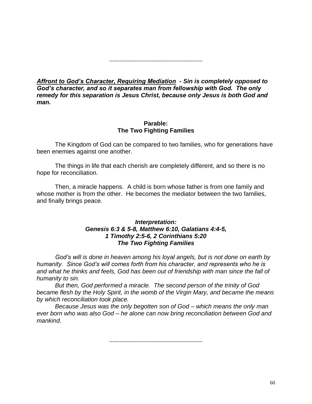*-------------------------------------------------------*

*Affront to God"s Character, Requiring Mediation - Sin is completely opposed to God"s character, and so it separates man from fellowship with God. The only remedy for this separation is Jesus Christ, because only Jesus is both God and man.*

## **Parable: The Two Fighting Families**

The Kingdom of God can be compared to two families, who for generations have been enemies against one another.

The things in life that each cherish are completely different, and so there is no hope for reconciliation.

Then, a miracle happens. A child is born whose father is from one family and whose mother is from the other. He becomes the mediator between the two families, and finally brings peace.

## *Interpretation: Genesis 6:3 & 5-8, Matthew 6:10, Galatians 4:4-5, 1 Timothy 2:5-6, 2 Corinthians 5:20 The Two Fighting Families*

*God's will is done in heaven among his loyal angels, but is not done on earth by humanity. Since God's will comes forth from his character, and represents who he is and what he thinks and feels, God has been out of friendship with man since the fall of humanity to sin.*

*But then, God performed a miracle. The second person of the trinity of God became flesh by the Holy Spirit, in the womb of the Virgin Mary, and became the means by which reconciliation took place.* 

*Because Jesus was the only begotten son of God – which means the only man ever born who was also God – he alone can now bring reconciliation between God and mankind.*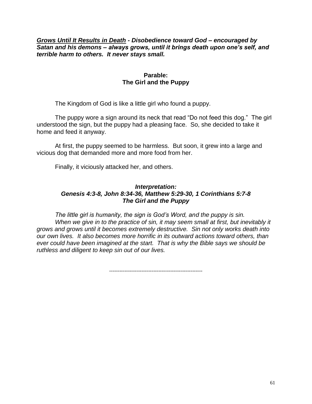## *Grows Until It Results in Death - Disobedience toward God – encouraged by Satan and his demons – always grows, until it brings death upon one"s self, and terrible harm to others. It never stays small.*

## **Parable: The Girl and the Puppy**

The Kingdom of God is like a little girl who found a puppy.

The puppy wore a sign around its neck that read "Do not feed this dog." The girl understood the sign, but the puppy had a pleasing face. So, she decided to take it home and feed it anyway.

At first, the puppy seemed to be harmless. But soon, it grew into a large and vicious dog that demanded more and more food from her.

Finally, it viciously attacked her, and others.

## *Interpretation: Genesis 4:3-8, John 8:34-36, Matthew 5:29-30, 1 Corinthians 5:7-8 The Girl and the Puppy*

*The little girl is humanity, the sign is God's Word, and the puppy is sin. When we give in to the practice of sin, it may seem small at first, but inevitably it grows and grows until it becomes extremely destructive. Sin not only works death into our own lives. It also becomes more horrific in its outward actions toward others, than ever could have been imagined at the start. That is why the Bible says we should be ruthless and diligent to keep sin out of our lives.*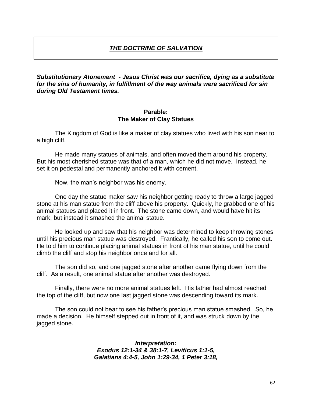# *THE DOCTRINE OF SALVATION*

*Substitutionary Atonement - Jesus Christ was our sacrifice, dying as a substitute for the sins of humanity, in fulfillment of the way animals were sacrificed for sin during Old Testament times.*

### **Parable: The Maker of Clay Statues**

The Kingdom of God is like a maker of clay statues who lived with his son near to a high cliff.

He made many statues of animals, and often moved them around his property. But his most cherished statue was that of a man, which he did not move. Instead, he set it on pedestal and permanently anchored it with cement.

Now, the man"s neighbor was his enemy.

One day the statue maker saw his neighbor getting ready to throw a large jagged stone at his man statue from the cliff above his property. Quickly, he grabbed one of his animal statues and placed it in front. The stone came down, and would have hit its mark, but instead it smashed the animal statue.

He looked up and saw that his neighbor was determined to keep throwing stones until his precious man statue was destroyed. Frantically, he called his son to come out. He told him to continue placing animal statues in front of his man statue, until he could climb the cliff and stop his neighbor once and for all.

The son did so, and one jagged stone after another came flying down from the cliff. As a result, one animal statue after another was destroyed.

Finally, there were no more animal statues left. His father had almost reached the top of the cliff, but now one last jagged stone was descending toward its mark.

The son could not bear to see his father"s precious man statue smashed. So, he made a decision. He himself stepped out in front of it, and was struck down by the jagged stone.

> *Interpretation: Exodus 12:1-34 & 38:1-7, Leviticus 1:1-5, Galatians 4:4-5, John 1:29-34, 1 Peter 3:18,*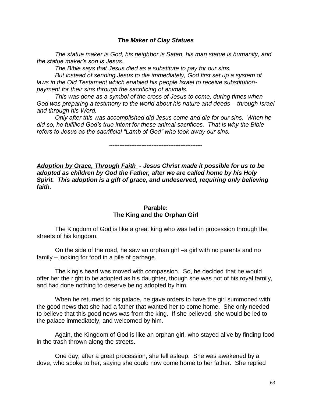### *The Maker of Clay Statues*

*The statue maker is God, his neighbor is Satan, his man statue is humanity, and the statue maker's son is Jesus.*

*The Bible says that Jesus died as a substitute to pay for our sins.*

*But instead of sending Jesus to die immediately, God first set up a system of laws in the Old Testament which enabled his people Israel to receive substitutionpayment for their sins through the sacrificing of animals.* 

*This was done as a symbol of the cross of Jesus to come, during times when God was preparing a testimony to the world about his nature and deeds – through Israel and through his Word.* 

*Only after this was accomplished did Jesus come and die for our sins. When he did so, he fulfilled God's true intent for these animal sacrifices. That is why the Bible refers to Jesus as the sacrificial "Lamb of God" who took away our sins.*

*-------------------------------------------------------*

*Adoption by Grace, Through Faith - Jesus Christ made it possible for us to be adopted as children by God the Father, after we are called home by his Holy*  Spirit. This adoption is a gift of grace, and undeserved, requiring only believing *faith.* 

### **Parable: The King and the Orphan Girl**

The Kingdom of God is like a great king who was led in procession through the streets of his kingdom.

On the side of the road, he saw an orphan girl –a girl with no parents and no family – looking for food in a pile of garbage.

The king"s heart was moved with compassion. So, he decided that he would offer her the right to be adopted as his daughter, though she was not of his royal family, and had done nothing to deserve being adopted by him.

When he returned to his palace, he gave orders to have the girl summoned with the good news that she had a father that wanted her to come home. She only needed to believe that this good news was from the king. If she believed, she would be led to the palace immediately, and welcomed by him.

Again, the Kingdom of God is like an orphan girl, who stayed alive by finding food in the trash thrown along the streets.

One day, after a great procession, she fell asleep. She was awakened by a dove, who spoke to her, saying she could now come home to her father. She replied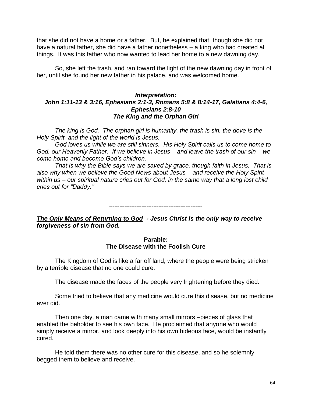that she did not have a home or a father. But, he explained that, though she did not have a natural father, she did have a father nonetheless – a king who had created all things. It was this father who now wanted to lead her home to a new dawning day.

So, she left the trash, and ran toward the light of the new dawning day in front of her, until she found her new father in his palace, and was welcomed home.

## *Interpretation: John 1:11-13 & 3:16, Ephesians 2:1-3, Romans 5:8 & 8:14-17, Galatians 4:4-6, Ephesians 2:8-10 The King and the Orphan Girl*

*The king is God. The orphan girl is humanity, the trash is sin, the dove is the Holy Spirit, and the light of the world is Jesus.*

*God loves us while we are still sinners. His Holy Spirit calls us to come home to God, our Heavenly Father. If we believe in Jesus – and leave the trash of our sin – we come home and become God's children.*

*That is why the Bible says we are saved by grace, though faith in Jesus. That is also why when we believe the Good News about Jesus – and receive the Holy Spirit within us – our spiritual nature cries out for God, in the same way that a long lost child cries out for "Daddy."*

#### *-------------------------------------------------------*

*The Only Means of Returning to God - Jesus Christ is the only way to receive forgiveness of sin from God.*

### **Parable: The Disease with the Foolish Cure**

The Kingdom of God is like a far off land, where the people were being stricken by a terrible disease that no one could cure.

The disease made the faces of the people very frightening before they died.

Some tried to believe that any medicine would cure this disease, but no medicine ever did.

Then one day, a man came with many small mirrors –pieces of glass that enabled the beholder to see his own face. He proclaimed that anyone who would simply receive a mirror, and look deeply into his own hideous face, would be instantly cured.

He told them there was no other cure for this disease, and so he solemnly begged them to believe and receive.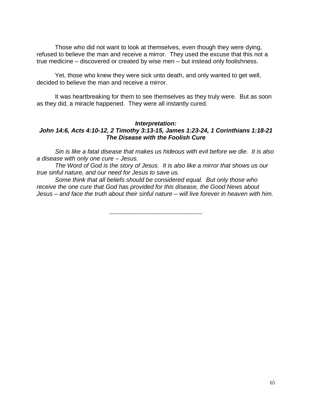Those who did not want to look at themselves, even though they were dying, refused to believe the man and receive a mirror. They used the excuse that this not a true medicine – discovered or created by wise men – but instead only foolishness.

Yet, those who knew they were sick unto death, and only wanted to get well, decided to believe the man and receive a mirror.

It was heartbreaking for them to see themselves as they truly were. But as soon as they did, a miracle happened. They were all instantly cured.

### *Interpretation:*

## *John 14:6, Acts 4:10-12, 2 Timothy 3:13-15, James 1:23-24, 1 Corinthians 1:18-21 The Disease with the Foolish Cure*

*Sin is like a fatal disease that makes us hideous with evil before we die. It is also a disease with only one cure – Jesus.* 

*The Word of God is the story of Jesus. It is also like a mirror that shows us our true sinful nature, and our need for Jesus to save us.* 

*Some think that all beliefs should be considered equal. But only those who receive the one cure that God has provided for this disease, the Good News about Jesus – and face the truth about their sinful nature – will live forever in heaven with him.*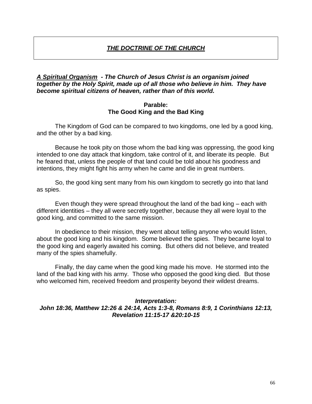# *THE DOCTRINE OF THE CHURCH*

## *A Spiritual Organism - The Church of Jesus Christ is an organism joined together by the Holy Spirit, made up of all those who believe in him. They have become spiritual citizens of heaven, rather than of this world.*

### **Parable: The Good King and the Bad King**

The Kingdom of God can be compared to two kingdoms, one led by a good king, and the other by a bad king.

Because he took pity on those whom the bad king was oppressing, the good king intended to one day attack that kingdom, take control of it, and liberate its people. But he feared that, unless the people of that land could be told about his goodness and intentions, they might fight his army when he came and die in great numbers.

So, the good king sent many from his own kingdom to secretly go into that land as spies.

Even though they were spread throughout the land of the bad king – each with different identities – they all were secretly together, because they all were loyal to the good king, and committed to the same mission.

In obedience to their mission, they went about telling anyone who would listen, about the good king and his kingdom. Some believed the spies. They became loyal to the good king and eagerly awaited his coming. But others did not believe, and treated many of the spies shamefully.

Finally, the day came when the good king made his move. He stormed into the land of the bad king with his army. Those who opposed the good king died. But those who welcomed him, received freedom and prosperity beyond their wildest dreams.

### *Interpretation:*

*John 18:36, Matthew 12:26 & 24:14, Acts 1:3-8, Romans 8:9, 1 Corinthians 12:13, Revelation 11:15-17 &20:10-15*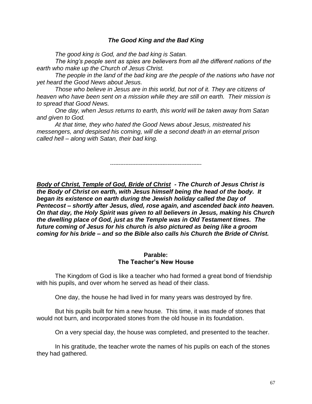## *The Good King and the Bad King*

*The good king is God, and the bad king is Satan.* 

*The king's people sent as spies are believers from all the different nations of the earth who make up the Church of Jesus Christ.* 

*The people in the land of the bad king are the people of the nations who have not yet heard the Good News about Jesus.*

*Those who believe in Jesus are in this world, but not of it. They are citizens of heaven who have been sent on a mission while they are still on earth. Their mission is to spread that Good News.* 

*One day, when Jesus returns to earth, this world will be taken away from Satan and given to God.* 

*At that time, they who hated the Good News about Jesus, mistreated his messengers, and despised his coming, will die a second death in an eternal prison called hell – along with Satan, their bad king.*

*------------------------------------------------------*

*Body of Christ, Temple of God, Bride of Christ - The Church of Jesus Christ is the Body of Christ on earth, with Jesus himself being the head of the body. It began its existence on earth during the Jewish holiday called the Day of Pentecost – shortly after Jesus, died, rose again, and ascended back into heaven. On that day, the Holy Spirit was given to all believers in Jesus, making his Church the dwelling place of God, just as the Temple was in Old Testament times. The future coming of Jesus for his church is also pictured as being like a groom coming for his bride – and so the Bible also calls his Church the Bride of Christ.* 

#### **Parable: The Teacher's New House**

The Kingdom of God is like a teacher who had formed a great bond of friendship with his pupils, and over whom he served as head of their class.

One day, the house he had lived in for many years was destroyed by fire.

But his pupils built for him a new house. This time, it was made of stones that would not burn, and incorporated stones from the old house in its foundation.

On a very special day, the house was completed, and presented to the teacher.

In his gratitude, the teacher wrote the names of his pupils on each of the stones they had gathered.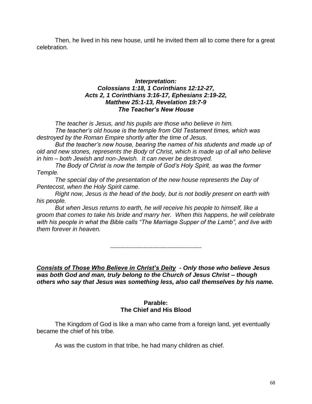Then, he lived in his new house, until he invited them all to come there for a great celebration.

## *Interpretation: Colossians 1:18, 1 Corinthians 12:12-27, Acts 2, 1 Corinthians 3:16-17, Ephesians 2:19-22, Matthew 25:1-13, Revelation 19:7-9 The Teacher"s New House*

*The teacher is Jesus, and his pupils are those who believe in him. The teacher's old house is the temple from Old Testament times, which was destroyed by the Roman Empire shortly after the time of Jesus.* 

*But the teacher's new house, bearing the names of his students and made up of old and new stones, represents the Body of Christ, which is made up of all who believe in him – both Jewish and non-Jewish. It can never be destroyed.* 

*The Body of Christ is now the temple of God's Holy Spirit, as was the former Temple.* 

*The special day of the presentation of the new house represents the Day of Pentecost, when the Holy Spirit came.*

*Right now, Jesus is the head of the body, but is not bodily present on earth with his people.* 

*But when Jesus returns to earth, he will receive his people to himself, like a groom that comes to take his bride and marry her. When this happens, he will celebrate with his people in what the Bible calls "The Marriage Supper of the Lamb", and live with them forever in heaven.*

*------------------------------------------------------*

*Consists of Those Who Believe in Christ"s Deity - Only those who believe Jesus was both God and man, truly belong to the Church of Jesus Christ – though others who say that Jesus was something less, also call themselves by his name.*

## **Parable: The Chief and His Blood**

The Kingdom of God is like a man who came from a foreign land, yet eventually became the chief of his tribe.

As was the custom in that tribe, he had many children as chief.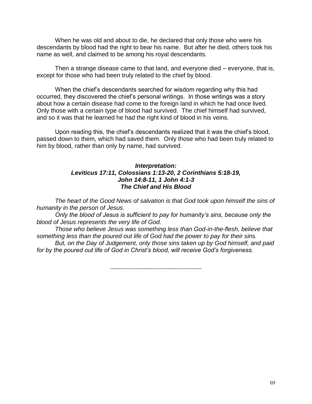When he was old and about to die, he declared that only those who were his descendants by blood had the right to bear his name. But after he died, others took his name as well, and claimed to be among his royal descendants.

Then a strange disease came to that land, and everyone died – everyone, that is, except for those who had been truly related to the chief by blood.

When the chief"s descendants searched for wisdom regarding why this had occurred, they discovered the chief"s personal writings. In those writings was a story about how a certain disease had come to the foreign land in which he had once lived. Only those with a certain type of blood had survived. The chief himself had survived, and so it was that he learned he had the right kind of blood in his veins.

Upon reading this, the chief"s descendants realized that it was the chief"s blood, passed down to them, which had saved them. Only those who had been truly related to him by blood, rather than only by name, had survived.

### *Interpretation: Leviticus 17:11, Colossians 1:13-20, 2 Corinthians 5:18-19, John 14:8-11, 1 John 4:1-3 The Chief and His Blood*

*The heart of the Good News of salvation is that God took upon himself the sins of humanity in the person of Jesus.*

*Only the blood of Jesus is sufficient to pay for humanity's sins, because only the blood of Jesus represents the very life of God.* 

*Those who believe Jesus was something less than God-in-the-flesh, believe that something less than the poured out life of God had the power to pay for their sins.*

*But, on the Day of Judgement, only those sins taken up by God himself, and paid for by the poured out life of God in Christ's blood, will receive God's forgiveness.*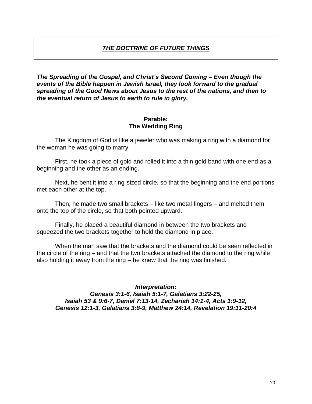# *THE DOCTRINE OF FUTURE THINGS*

*The Spreading of the Gospel, and Christ"s Second Coming – Even though the events of the Bible happen in Jewish Israel, they look forward to the gradual spreading of the Good News about Jesus to the rest of the nations, and then to the eventual return of Jesus to earth to rule in glory.*

### **Parable: The Wedding Ring**

The Kingdom of God is like a jeweler who was making a ring with a diamond for the woman he was going to marry.

First, he took a piece of gold and rolled it into a thin gold band with one end as a beginning and the other as an ending.

Next, he bent it into a ring-sized circle, so that the beginning and the end portions met each other at the top.

Then, he made two small brackets – like two metal fingers – and melted them onto the top of the circle, so that both pointed upward.

Finally, he placed a beautiful diamond in between the two brackets and squeezed the two brackets together to hold the diamond in place.

When the man saw that the brackets and the diamond could be seen reflected in the circle of the ring – and that the two brackets attached the diamond to the ring while also holding it away from the ring – he knew that the ring was finished.

*Interpretation: Genesis 3:1-6, Isaiah 5:1-7, Galatians 3:22-25, Isaiah 53 & 9:6-7, Daniel 7:13-14, Zechariah 14:1-4, Acts 1:9-12, Genesis 12:1-3, Galatians 3:8-9, Matthew 24:14, Revelation 19:11-20:4*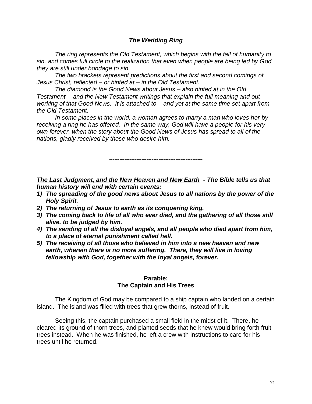## *The Wedding Ring*

*The ring represents the Old Testament, which begins with the fall of humanity to sin, and comes full circle to the realization that even when people are being led by God they are still under bondage to sin.*

*The two brackets represent predictions about the first and second comings of Jesus Christ, reflected – or hinted at – in the Old Testament.*

*The diamond is the Good News about Jesus – also hinted at in the Old Testament -- and the New Testament writings that explain the full meaning and outworking of that Good News. It is attached to – and yet at the same time set apart from – the Old Testament.* 

*In some places in the world, a woman agrees to marry a man who loves her by receiving a ring he has offered. In the same way, God will have a people for his very own forever, when the story about the Good News of Jesus has spread to all of the nations, gladly received by those who desire him.* 

*-------------------------------------------------------*

*The Last Judgment, and the New Heaven and New Earth - The Bible tells us that human history will end with certain events:* 

- *1) The spreading of the good news about Jesus to all nations by the power of the Holy Spirit.*
- *2) The returning of Jesus to earth as its conquering king.*
- *3) The coming back to life of all who ever died, and the gathering of all those still alive, to be judged by him.*
- *4) The sending of all the disloyal angels, and all people who died apart from him, to a place of eternal punishment called hell.*
- *5) The receiving of all those who believed in him into a new heaven and new*  earth, wherein there is no more suffering. There, they will live in loving *fellowship with God, together with the loyal angels, forever.*

#### **Parable: The Captain and His Trees**

The Kingdom of God may be compared to a ship captain who landed on a certain island. The island was filled with trees that grew thorns, instead of fruit.

Seeing this, the captain purchased a small field in the midst of it. There, he cleared its ground of thorn trees, and planted seeds that he knew would bring forth fruit trees instead. When he was finished, he left a crew with instructions to care for his trees until he returned.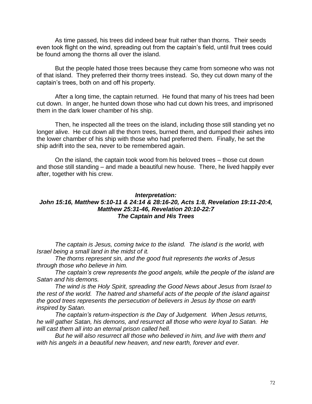As time passed, his trees did indeed bear fruit rather than thorns. Their seeds even took flight on the wind, spreading out from the captain's field, until fruit trees could be found among the thorns all over the island.

But the people hated those trees because they came from someone who was not of that island. They preferred their thorny trees instead. So, they cut down many of the captain"s trees, both on and off his property.

After a long time, the captain returned. He found that many of his trees had been cut down. In anger, he hunted down those who had cut down his trees, and imprisoned them in the dark lower chamber of his ship.

Then, he inspected all the trees on the island, including those still standing yet no longer alive. He cut down all the thorn trees, burned them, and dumped their ashes into the lower chamber of his ship with those who had preferred them. Finally, he set the ship adrift into the sea, never to be remembered again.

On the island, the captain took wood from his beloved trees – those cut down and those still standing – and made a beautiful new house. There, he lived happily ever after, together with his crew.

### *Interpretation: John 15:16, Matthew 5:10-11 & 24:14 & 28:16-20, Acts 1:8, Revelation 19:11-20:4, Matthew 25:31-46, Revelation 20:10-22:7 The Captain and His Trees*

*The captain is Jesus, coming twice to the island. The island is the world, with Israel being a small land in the midst of it.* 

*The thorns represent sin, and the good fruit represents the works of Jesus through those who believe in him.*

*The captain's crew represents the good angels, while the people of the island are Satan and his demons.* 

*The wind is the Holy Spirit, spreading the Good News about Jesus from Israel to the rest of the world. The hatred and shameful acts of the people of the island against the good trees represents the persecution of believers in Jesus by those on earth inspired by Satan.*

*The captain's return-inspection is the Day of Judgement. When Jesus returns, he will gather Satan, his demons, and resurrect all those who were loyal to Satan. He will cast them all into an eternal prison called hell.* 

*But he will also resurrect all those who believed in him, and live with them and*  with his angels in a beautiful new heaven, and new earth, forever and ever.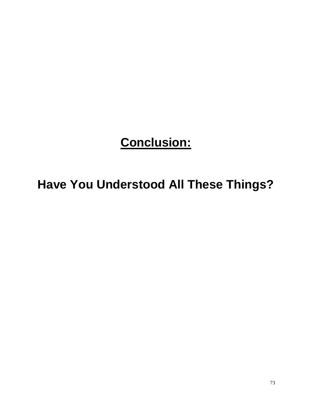# **Conclusion:**

## **Have You Understood All These Things?**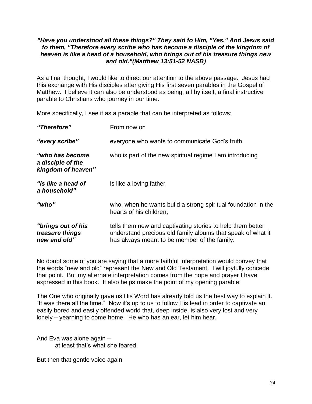#### *"Have you understood all these things?" They said to Him, "Yes." And Jesus said to them, "Therefore every scribe who has become a disciple of the kingdom of heaven is like a head of a household, who brings out of his treasure things new and old."(Matthew 13:51-52 NASB)*

As a final thought, I would like to direct our attention to the above passage. Jesus had this exchange with His disciples after giving His first seven parables in the Gospel of Matthew. I believe it can also be understood as being, all by itself, a final instructive parable to Christians who journey in our time.

More specifically, I see it as a parable that can be interpreted as follows:

| "Therefore"                                                 | From now on                                                                                                                                                               |
|-------------------------------------------------------------|---------------------------------------------------------------------------------------------------------------------------------------------------------------------------|
| "every scribe"                                              | everyone who wants to communicate God's truth                                                                                                                             |
| "who has become"<br>a disciple of the<br>kingdom of heaven" | who is part of the new spiritual regime I am introducing                                                                                                                  |
| "is like a head of<br>a household"                          | is like a loving father                                                                                                                                                   |
| "who"                                                       | who, when he wants build a strong spiritual foundation in the<br>hearts of his children,                                                                                  |
| "brings out of his<br>treasure things<br>new and old"       | tells them new and captivating stories to help them better<br>understand precious old family albums that speak of what it<br>has always meant to be member of the family. |

No doubt some of you are saying that a more faithful interpretation would convey that the words "new and old" represent the New and Old Testament. I will joyfully concede that point. But my alternate interpretation comes from the hope and prayer I have expressed in this book. It also helps make the point of my opening parable:

The One who originally gave us His Word has already told us the best way to explain it. "It was there all the time." Now it"s up to us to follow His lead in order to captivate an easily bored and easily offended world that, deep inside, is also very lost and very lonely – yearning to come home. He who has an ear, let him hear.

And Eva was alone again – at least that"s what she feared.

But then that gentle voice again